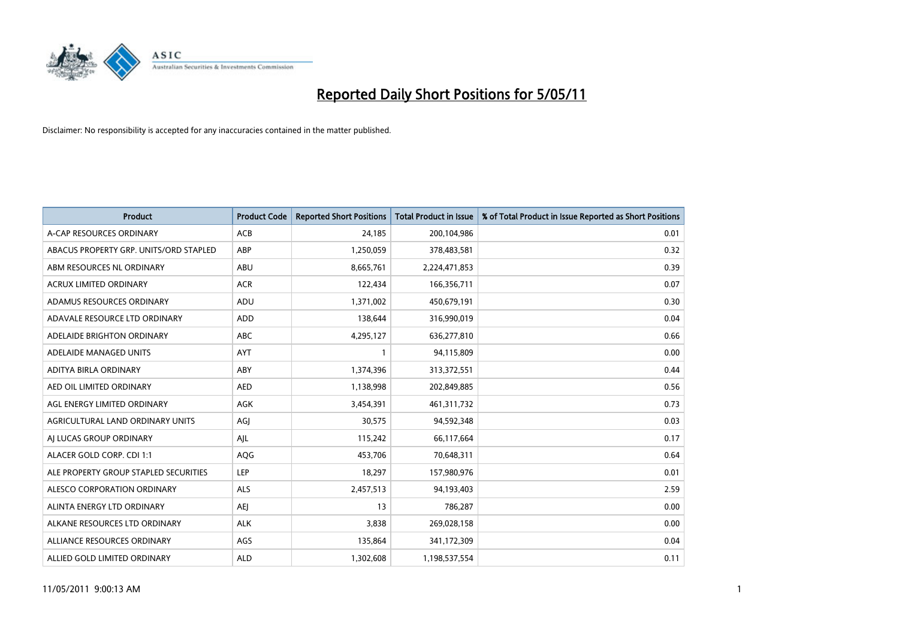

| <b>Product</b>                         | <b>Product Code</b> | <b>Reported Short Positions</b> | Total Product in Issue | % of Total Product in Issue Reported as Short Positions |
|----------------------------------------|---------------------|---------------------------------|------------------------|---------------------------------------------------------|
| A-CAP RESOURCES ORDINARY               | <b>ACB</b>          | 24,185                          | 200,104,986            | 0.01                                                    |
| ABACUS PROPERTY GRP. UNITS/ORD STAPLED | ABP                 | 1,250,059                       | 378,483,581            | 0.32                                                    |
| ABM RESOURCES NL ORDINARY              | ABU                 | 8,665,761                       | 2,224,471,853          | 0.39                                                    |
| ACRUX LIMITED ORDINARY                 | <b>ACR</b>          | 122,434                         | 166,356,711            | 0.07                                                    |
| ADAMUS RESOURCES ORDINARY              | ADU                 | 1,371,002                       | 450,679,191            | 0.30                                                    |
| ADAVALE RESOURCE LTD ORDINARY          | ADD                 | 138,644                         | 316,990,019            | 0.04                                                    |
| ADELAIDE BRIGHTON ORDINARY             | <b>ABC</b>          | 4,295,127                       | 636,277,810            | 0.66                                                    |
| ADELAIDE MANAGED UNITS                 | <b>AYT</b>          |                                 | 94,115,809             | 0.00                                                    |
| ADITYA BIRLA ORDINARY                  | ABY                 | 1,374,396                       | 313,372,551            | 0.44                                                    |
| AED OIL LIMITED ORDINARY               | <b>AED</b>          | 1,138,998                       | 202,849,885            | 0.56                                                    |
| AGL ENERGY LIMITED ORDINARY            | <b>AGK</b>          | 3,454,391                       | 461,311,732            | 0.73                                                    |
| AGRICULTURAL LAND ORDINARY UNITS       | AGJ                 | 30,575                          | 94,592,348             | 0.03                                                    |
| AI LUCAS GROUP ORDINARY                | AJL                 | 115,242                         | 66,117,664             | 0.17                                                    |
| ALACER GOLD CORP. CDI 1:1              | AQG                 | 453,706                         | 70,648,311             | 0.64                                                    |
| ALE PROPERTY GROUP STAPLED SECURITIES  | <b>LEP</b>          | 18,297                          | 157,980,976            | 0.01                                                    |
| ALESCO CORPORATION ORDINARY            | ALS                 | 2,457,513                       | 94,193,403             | 2.59                                                    |
| ALINTA ENERGY LTD ORDINARY             | <b>AEI</b>          | 13                              | 786,287                | 0.00                                                    |
| ALKANE RESOURCES LTD ORDINARY          | <b>ALK</b>          | 3,838                           | 269,028,158            | 0.00                                                    |
| ALLIANCE RESOURCES ORDINARY            | AGS                 | 135,864                         | 341,172,309            | 0.04                                                    |
| ALLIED GOLD LIMITED ORDINARY           | <b>ALD</b>          | 1,302,608                       | 1,198,537,554          | 0.11                                                    |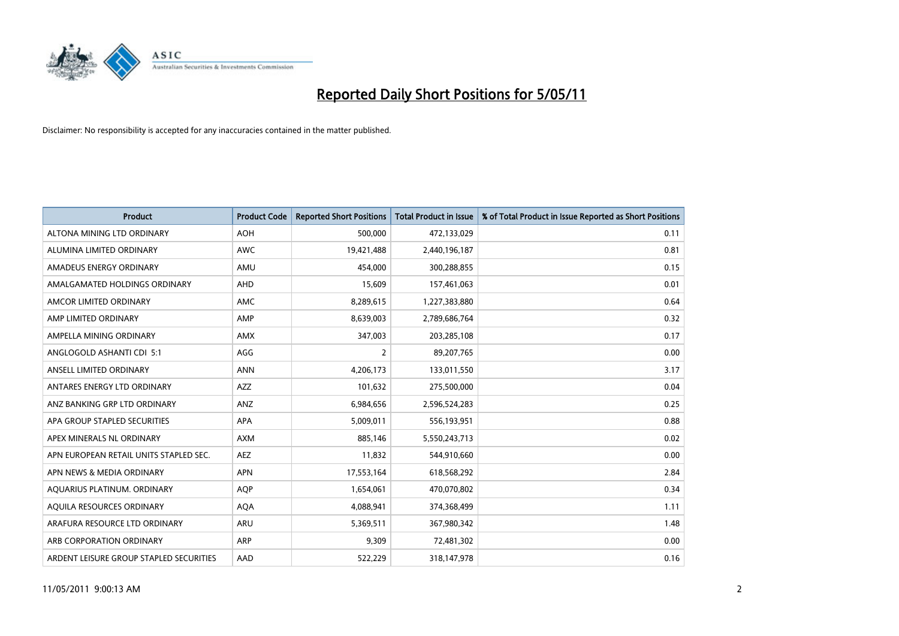

| <b>Product</b>                          | <b>Product Code</b> | <b>Reported Short Positions</b> | <b>Total Product in Issue</b> | % of Total Product in Issue Reported as Short Positions |
|-----------------------------------------|---------------------|---------------------------------|-------------------------------|---------------------------------------------------------|
| ALTONA MINING LTD ORDINARY              | <b>AOH</b>          | 500,000                         | 472,133,029                   | 0.11                                                    |
| ALUMINA LIMITED ORDINARY                | <b>AWC</b>          | 19,421,488                      | 2,440,196,187                 | 0.81                                                    |
| AMADEUS ENERGY ORDINARY                 | AMU                 | 454,000                         | 300,288,855                   | 0.15                                                    |
| AMALGAMATED HOLDINGS ORDINARY           | AHD                 | 15,609                          | 157,461,063                   | 0.01                                                    |
| AMCOR LIMITED ORDINARY                  | <b>AMC</b>          | 8,289,615                       | 1,227,383,880                 | 0.64                                                    |
| AMP LIMITED ORDINARY                    | AMP                 | 8,639,003                       | 2,789,686,764                 | 0.32                                                    |
| AMPELLA MINING ORDINARY                 | <b>AMX</b>          | 347,003                         | 203,285,108                   | 0.17                                                    |
| ANGLOGOLD ASHANTI CDI 5:1               | AGG                 | $\overline{2}$                  | 89,207,765                    | 0.00                                                    |
| ANSELL LIMITED ORDINARY                 | <b>ANN</b>          | 4,206,173                       | 133,011,550                   | 3.17                                                    |
| ANTARES ENERGY LTD ORDINARY             | <b>AZZ</b>          | 101,632                         | 275,500,000                   | 0.04                                                    |
| ANZ BANKING GRP LTD ORDINARY            | ANZ                 | 6,984,656                       | 2,596,524,283                 | 0.25                                                    |
| APA GROUP STAPLED SECURITIES            | <b>APA</b>          | 5,009,011                       | 556,193,951                   | 0.88                                                    |
| APEX MINERALS NL ORDINARY               | <b>AXM</b>          | 885,146                         | 5,550,243,713                 | 0.02                                                    |
| APN EUROPEAN RETAIL UNITS STAPLED SEC.  | <b>AEZ</b>          | 11,832                          | 544,910,660                   | 0.00                                                    |
| APN NEWS & MEDIA ORDINARY               | <b>APN</b>          | 17,553,164                      | 618,568,292                   | 2.84                                                    |
| AQUARIUS PLATINUM. ORDINARY             | <b>AQP</b>          | 1,654,061                       | 470,070,802                   | 0.34                                                    |
| AQUILA RESOURCES ORDINARY               | <b>AQA</b>          | 4,088,941                       | 374,368,499                   | 1.11                                                    |
| ARAFURA RESOURCE LTD ORDINARY           | <b>ARU</b>          | 5,369,511                       | 367,980,342                   | 1.48                                                    |
| ARB CORPORATION ORDINARY                | <b>ARP</b>          | 9,309                           | 72,481,302                    | 0.00                                                    |
| ARDENT LEISURE GROUP STAPLED SECURITIES | AAD                 | 522.229                         | 318,147,978                   | 0.16                                                    |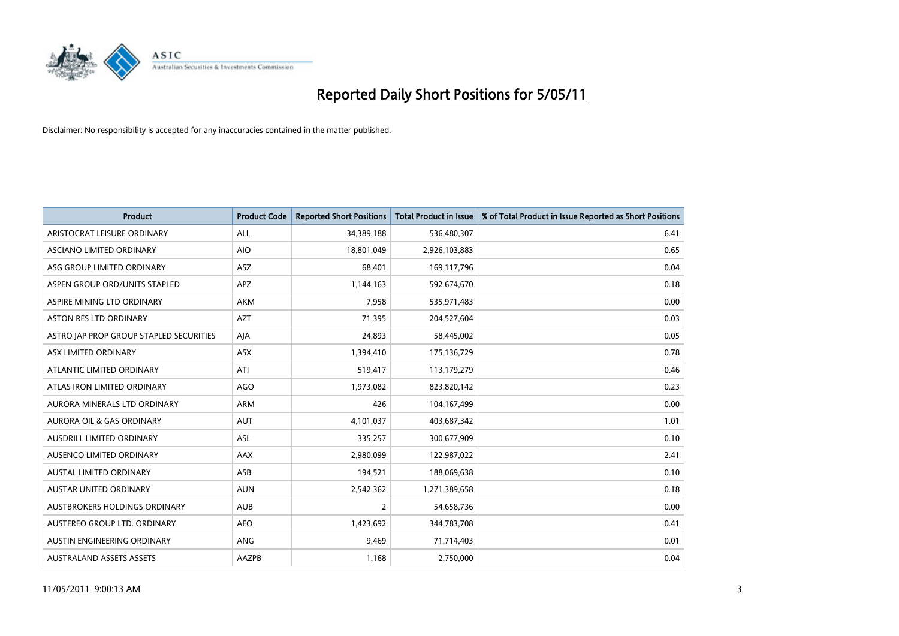

| <b>Product</b>                          | <b>Product Code</b> | <b>Reported Short Positions</b> | Total Product in Issue | % of Total Product in Issue Reported as Short Positions |
|-----------------------------------------|---------------------|---------------------------------|------------------------|---------------------------------------------------------|
| ARISTOCRAT LEISURE ORDINARY             | ALL                 | 34,389,188                      | 536,480,307            | 6.41                                                    |
| ASCIANO LIMITED ORDINARY                | <b>AIO</b>          | 18,801,049                      | 2,926,103,883          | 0.65                                                    |
| ASG GROUP LIMITED ORDINARY              | <b>ASZ</b>          | 68,401                          | 169,117,796            | 0.04                                                    |
| ASPEN GROUP ORD/UNITS STAPLED           | APZ                 | 1,144,163                       | 592,674,670            | 0.18                                                    |
| ASPIRE MINING LTD ORDINARY              | <b>AKM</b>          | 7,958                           | 535,971,483            | 0.00                                                    |
| <b>ASTON RES LTD ORDINARY</b>           | <b>AZT</b>          | 71,395                          | 204,527,604            | 0.03                                                    |
| ASTRO JAP PROP GROUP STAPLED SECURITIES | AJA                 | 24,893                          | 58,445,002             | 0.05                                                    |
| ASX LIMITED ORDINARY                    | ASX                 | 1,394,410                       | 175,136,729            | 0.78                                                    |
| ATLANTIC LIMITED ORDINARY               | ATI                 | 519,417                         | 113,179,279            | 0.46                                                    |
| ATLAS IRON LIMITED ORDINARY             | <b>AGO</b>          | 1,973,082                       | 823,820,142            | 0.23                                                    |
| AURORA MINERALS LTD ORDINARY            | <b>ARM</b>          | 426                             | 104,167,499            | 0.00                                                    |
| AURORA OIL & GAS ORDINARY               | <b>AUT</b>          | 4,101,037                       | 403,687,342            | 1.01                                                    |
| AUSDRILL LIMITED ORDINARY               | <b>ASL</b>          | 335,257                         | 300,677,909            | 0.10                                                    |
| AUSENCO LIMITED ORDINARY                | <b>AAX</b>          | 2,980,099                       | 122,987,022            | 2.41                                                    |
| <b>AUSTAL LIMITED ORDINARY</b>          | ASB                 | 194,521                         | 188,069,638            | 0.10                                                    |
| <b>AUSTAR UNITED ORDINARY</b>           | <b>AUN</b>          | 2,542,362                       | 1,271,389,658          | 0.18                                                    |
| AUSTBROKERS HOLDINGS ORDINARY           | <b>AUB</b>          | 2                               | 54,658,736             | 0.00                                                    |
| AUSTEREO GROUP LTD. ORDINARY            | <b>AEO</b>          | 1,423,692                       | 344,783,708            | 0.41                                                    |
| AUSTIN ENGINEERING ORDINARY             | <b>ANG</b>          | 9,469                           | 71,714,403             | 0.01                                                    |
| <b>AUSTRALAND ASSETS ASSETS</b>         | AAZPB               | 1,168                           | 2,750,000              | 0.04                                                    |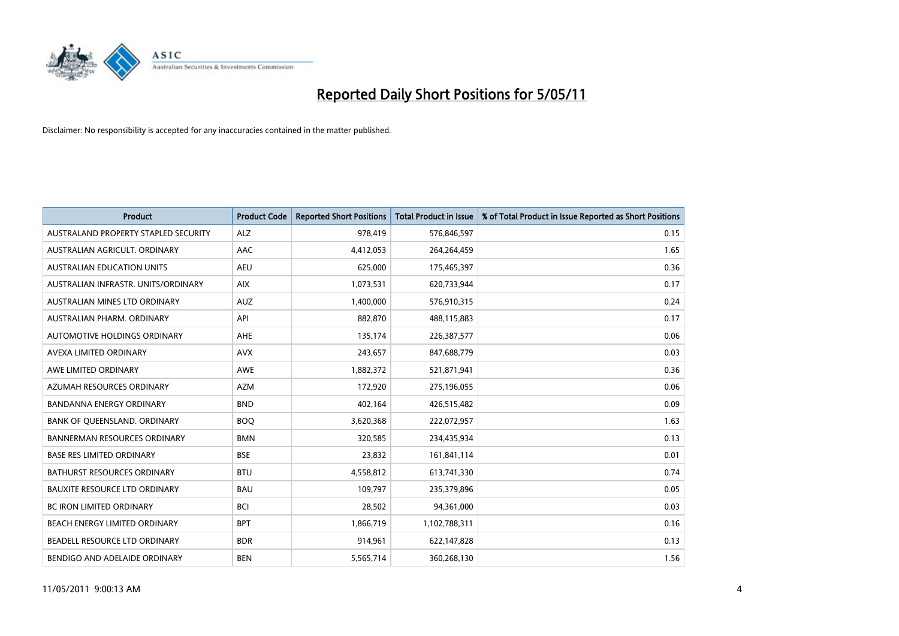

| <b>Product</b>                       | <b>Product Code</b> | <b>Reported Short Positions</b> | Total Product in Issue | % of Total Product in Issue Reported as Short Positions |
|--------------------------------------|---------------------|---------------------------------|------------------------|---------------------------------------------------------|
| AUSTRALAND PROPERTY STAPLED SECURITY | <b>ALZ</b>          | 978,419                         | 576,846,597            | 0.15                                                    |
| AUSTRALIAN AGRICULT. ORDINARY        | AAC                 | 4,412,053                       | 264,264,459            | 1.65                                                    |
| <b>AUSTRALIAN EDUCATION UNITS</b>    | <b>AEU</b>          | 625,000                         | 175,465,397            | 0.36                                                    |
| AUSTRALIAN INFRASTR. UNITS/ORDINARY  | <b>AIX</b>          | 1,073,531                       | 620,733,944            | 0.17                                                    |
| AUSTRALIAN MINES LTD ORDINARY        | <b>AUZ</b>          | 1,400,000                       | 576,910,315            | 0.24                                                    |
| AUSTRALIAN PHARM, ORDINARY           | API                 | 882,870                         | 488,115,883            | 0.17                                                    |
| AUTOMOTIVE HOLDINGS ORDINARY         | <b>AHE</b>          | 135,174                         | 226,387,577            | 0.06                                                    |
| AVEXA LIMITED ORDINARY               | <b>AVX</b>          | 243,657                         | 847,688,779            | 0.03                                                    |
| AWE LIMITED ORDINARY                 | <b>AWE</b>          | 1,882,372                       | 521,871,941            | 0.36                                                    |
| AZUMAH RESOURCES ORDINARY            | <b>AZM</b>          | 172,920                         | 275,196,055            | 0.06                                                    |
| BANDANNA ENERGY ORDINARY             | <b>BND</b>          | 402,164                         | 426,515,482            | 0.09                                                    |
| BANK OF QUEENSLAND. ORDINARY         | <b>BOQ</b>          | 3,620,368                       | 222,072,957            | 1.63                                                    |
| <b>BANNERMAN RESOURCES ORDINARY</b>  | <b>BMN</b>          | 320,585                         | 234,435,934            | 0.13                                                    |
| <b>BASE RES LIMITED ORDINARY</b>     | <b>BSE</b>          | 23,832                          | 161,841,114            | 0.01                                                    |
| BATHURST RESOURCES ORDINARY          | <b>BTU</b>          | 4,558,812                       | 613,741,330            | 0.74                                                    |
| BAUXITE RESOURCE LTD ORDINARY        | <b>BAU</b>          | 109,797                         | 235,379,896            | 0.05                                                    |
| <b>BC IRON LIMITED ORDINARY</b>      | <b>BCI</b>          | 28,502                          | 94,361,000             | 0.03                                                    |
| BEACH ENERGY LIMITED ORDINARY        | <b>BPT</b>          | 1,866,719                       | 1,102,788,311          | 0.16                                                    |
| BEADELL RESOURCE LTD ORDINARY        | <b>BDR</b>          | 914,961                         | 622,147,828            | 0.13                                                    |
| BENDIGO AND ADELAIDE ORDINARY        | <b>BEN</b>          | 5,565,714                       | 360,268,130            | 1.56                                                    |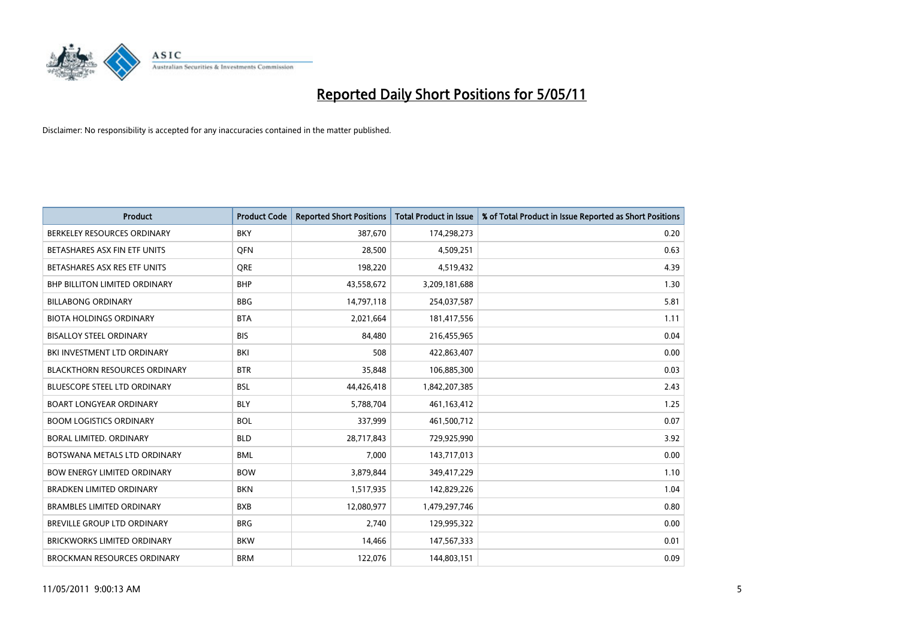

| Product                              | <b>Product Code</b> | <b>Reported Short Positions</b> | <b>Total Product in Issue</b> | % of Total Product in Issue Reported as Short Positions |
|--------------------------------------|---------------------|---------------------------------|-------------------------------|---------------------------------------------------------|
| BERKELEY RESOURCES ORDINARY          | <b>BKY</b>          | 387,670                         | 174,298,273                   | 0.20                                                    |
| BETASHARES ASX FIN ETF UNITS         | <b>OFN</b>          | 28,500                          | 4,509,251                     | 0.63                                                    |
| BETASHARES ASX RES ETF UNITS         | <b>ORE</b>          | 198,220                         | 4,519,432                     | 4.39                                                    |
| <b>BHP BILLITON LIMITED ORDINARY</b> | <b>BHP</b>          | 43,558,672                      | 3,209,181,688                 | 1.30                                                    |
| <b>BILLABONG ORDINARY</b>            | <b>BBG</b>          | 14,797,118                      | 254,037,587                   | 5.81                                                    |
| <b>BIOTA HOLDINGS ORDINARY</b>       | <b>BTA</b>          | 2,021,664                       | 181,417,556                   | 1.11                                                    |
| <b>BISALLOY STEEL ORDINARY</b>       | <b>BIS</b>          | 84,480                          | 216,455,965                   | 0.04                                                    |
| BKI INVESTMENT LTD ORDINARY          | <b>BKI</b>          | 508                             | 422,863,407                   | 0.00                                                    |
| <b>BLACKTHORN RESOURCES ORDINARY</b> | <b>BTR</b>          | 35,848                          | 106,885,300                   | 0.03                                                    |
| <b>BLUESCOPE STEEL LTD ORDINARY</b>  | <b>BSL</b>          | 44,426,418                      | 1,842,207,385                 | 2.43                                                    |
| <b>BOART LONGYEAR ORDINARY</b>       | <b>BLY</b>          | 5,788,704                       | 461, 163, 412                 | 1.25                                                    |
| <b>BOOM LOGISTICS ORDINARY</b>       | <b>BOL</b>          | 337,999                         | 461,500,712                   | 0.07                                                    |
| BORAL LIMITED. ORDINARY              | <b>BLD</b>          | 28,717,843                      | 729,925,990                   | 3.92                                                    |
| BOTSWANA METALS LTD ORDINARY         | <b>BML</b>          | 7,000                           | 143,717,013                   | 0.00                                                    |
| <b>BOW ENERGY LIMITED ORDINARY</b>   | <b>BOW</b>          | 3,879,844                       | 349,417,229                   | 1.10                                                    |
| <b>BRADKEN LIMITED ORDINARY</b>      | <b>BKN</b>          | 1,517,935                       | 142,829,226                   | 1.04                                                    |
| <b>BRAMBLES LIMITED ORDINARY</b>     | <b>BXB</b>          | 12,080,977                      | 1,479,297,746                 | 0.80                                                    |
| BREVILLE GROUP LTD ORDINARY          | <b>BRG</b>          | 2,740                           | 129,995,322                   | 0.00                                                    |
| <b>BRICKWORKS LIMITED ORDINARY</b>   | <b>BKW</b>          | 14,466                          | 147,567,333                   | 0.01                                                    |
| <b>BROCKMAN RESOURCES ORDINARY</b>   | <b>BRM</b>          | 122,076                         | 144,803,151                   | 0.09                                                    |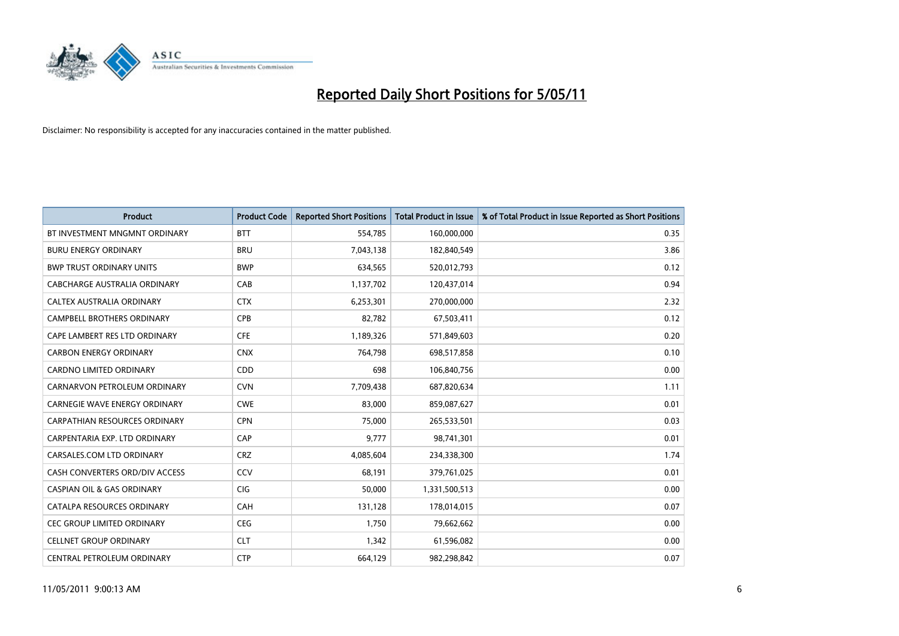

| <b>Product</b>                        | <b>Product Code</b> | <b>Reported Short Positions</b> | Total Product in Issue | % of Total Product in Issue Reported as Short Positions |
|---------------------------------------|---------------------|---------------------------------|------------------------|---------------------------------------------------------|
| BT INVESTMENT MNGMNT ORDINARY         | <b>BTT</b>          | 554,785                         | 160,000,000            | 0.35                                                    |
| <b>BURU ENERGY ORDINARY</b>           | <b>BRU</b>          | 7,043,138                       | 182,840,549            | 3.86                                                    |
| <b>BWP TRUST ORDINARY UNITS</b>       | <b>BWP</b>          | 634,565                         | 520,012,793            | 0.12                                                    |
| CABCHARGE AUSTRALIA ORDINARY          | CAB                 | 1,137,702                       | 120,437,014            | 0.94                                                    |
| CALTEX AUSTRALIA ORDINARY             | <b>CTX</b>          | 6,253,301                       | 270,000,000            | 2.32                                                    |
| CAMPBELL BROTHERS ORDINARY            | <b>CPB</b>          | 82,782                          | 67,503,411             | 0.12                                                    |
| CAPE LAMBERT RES LTD ORDINARY         | <b>CFE</b>          | 1,189,326                       | 571,849,603            | 0.20                                                    |
| <b>CARBON ENERGY ORDINARY</b>         | <b>CNX</b>          | 764,798                         | 698,517,858            | 0.10                                                    |
| CARDNO LIMITED ORDINARY               | CDD                 | 698                             | 106,840,756            | 0.00                                                    |
| CARNARVON PETROLEUM ORDINARY          | <b>CVN</b>          | 7,709,438                       | 687,820,634            | 1.11                                                    |
| CARNEGIE WAVE ENERGY ORDINARY         | <b>CWE</b>          | 83,000                          | 859,087,627            | 0.01                                                    |
| <b>CARPATHIAN RESOURCES ORDINARY</b>  | <b>CPN</b>          | 75.000                          | 265,533,501            | 0.03                                                    |
| CARPENTARIA EXP. LTD ORDINARY         | CAP                 | 9,777                           | 98,741,301             | 0.01                                                    |
| CARSALES.COM LTD ORDINARY             | <b>CRZ</b>          | 4,085,604                       | 234,338,300            | 1.74                                                    |
| CASH CONVERTERS ORD/DIV ACCESS        | CCV                 | 68,191                          | 379,761,025            | 0.01                                                    |
| <b>CASPIAN OIL &amp; GAS ORDINARY</b> | CIG                 | 50,000                          | 1,331,500,513          | 0.00                                                    |
| CATALPA RESOURCES ORDINARY            | CAH                 | 131,128                         | 178,014,015            | 0.07                                                    |
| CEC GROUP LIMITED ORDINARY            | <b>CEG</b>          | 1,750                           | 79,662,662             | 0.00                                                    |
| <b>CELLNET GROUP ORDINARY</b>         | <b>CLT</b>          | 1,342                           | 61,596,082             | 0.00                                                    |
| CENTRAL PETROLEUM ORDINARY            | <b>CTP</b>          | 664,129                         | 982,298,842            | 0.07                                                    |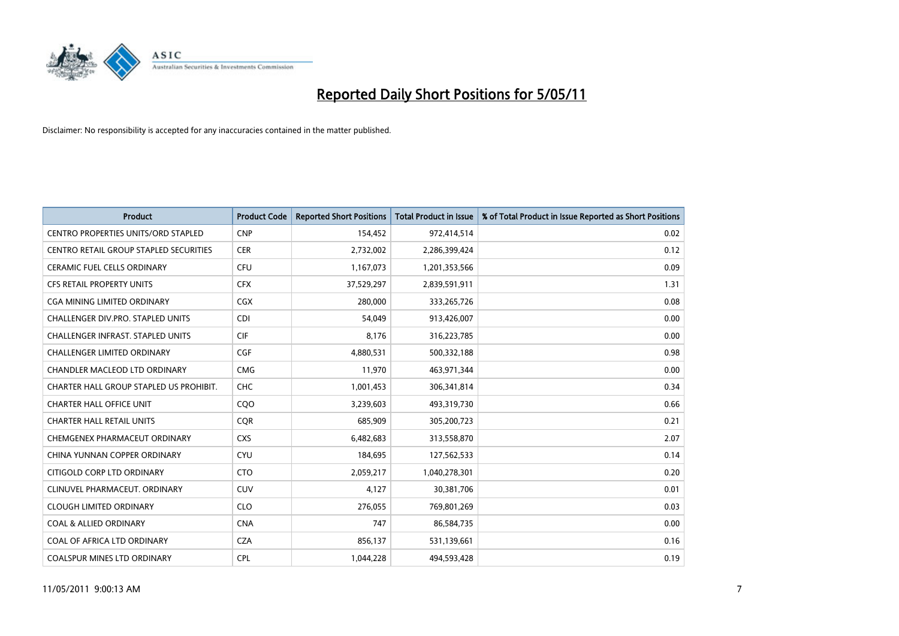

| <b>Product</b>                                | <b>Product Code</b> | <b>Reported Short Positions</b> | <b>Total Product in Issue</b> | % of Total Product in Issue Reported as Short Positions |
|-----------------------------------------------|---------------------|---------------------------------|-------------------------------|---------------------------------------------------------|
| <b>CENTRO PROPERTIES UNITS/ORD STAPLED</b>    | <b>CNP</b>          | 154,452                         | 972,414,514                   | 0.02                                                    |
| <b>CENTRO RETAIL GROUP STAPLED SECURITIES</b> | <b>CER</b>          | 2,732,002                       | 2,286,399,424                 | 0.12                                                    |
| <b>CERAMIC FUEL CELLS ORDINARY</b>            | CFU                 | 1,167,073                       | 1,201,353,566                 | 0.09                                                    |
| CFS RETAIL PROPERTY UNITS                     | <b>CFX</b>          | 37,529,297                      | 2,839,591,911                 | 1.31                                                    |
| <b>CGA MINING LIMITED ORDINARY</b>            | <b>CGX</b>          | 280.000                         | 333,265,726                   | 0.08                                                    |
| <b>CHALLENGER DIV.PRO. STAPLED UNITS</b>      | <b>CDI</b>          | 54,049                          | 913,426,007                   | 0.00                                                    |
| CHALLENGER INFRAST. STAPLED UNITS             | <b>CIF</b>          | 8.176                           | 316,223,785                   | 0.00                                                    |
| <b>CHALLENGER LIMITED ORDINARY</b>            | CGF                 | 4,880,531                       | 500,332,188                   | 0.98                                                    |
| CHANDLER MACLEOD LTD ORDINARY                 | <b>CMG</b>          | 11,970                          | 463,971,344                   | 0.00                                                    |
| CHARTER HALL GROUP STAPLED US PROHIBIT.       | <b>CHC</b>          | 1,001,453                       | 306,341,814                   | 0.34                                                    |
| <b>CHARTER HALL OFFICE UNIT</b>               | COO                 | 3,239,603                       | 493,319,730                   | 0.66                                                    |
| <b>CHARTER HALL RETAIL UNITS</b>              | <b>CQR</b>          | 685,909                         | 305,200,723                   | 0.21                                                    |
| CHEMGENEX PHARMACEUT ORDINARY                 | <b>CXS</b>          | 6,482,683                       | 313,558,870                   | 2.07                                                    |
| CHINA YUNNAN COPPER ORDINARY                  | <b>CYU</b>          | 184,695                         | 127,562,533                   | 0.14                                                    |
| CITIGOLD CORP LTD ORDINARY                    | <b>CTO</b>          | 2,059,217                       | 1,040,278,301                 | 0.20                                                    |
| CLINUVEL PHARMACEUT, ORDINARY                 | CUV                 | 4,127                           | 30,381,706                    | 0.01                                                    |
| <b>CLOUGH LIMITED ORDINARY</b>                | <b>CLO</b>          | 276,055                         | 769,801,269                   | 0.03                                                    |
| <b>COAL &amp; ALLIED ORDINARY</b>             | <b>CNA</b>          | 747                             | 86,584,735                    | 0.00                                                    |
| COAL OF AFRICA LTD ORDINARY                   | <b>CZA</b>          | 856,137                         | 531,139,661                   | 0.16                                                    |
| <b>COALSPUR MINES LTD ORDINARY</b>            | CPL                 | 1.044.228                       | 494,593,428                   | 0.19                                                    |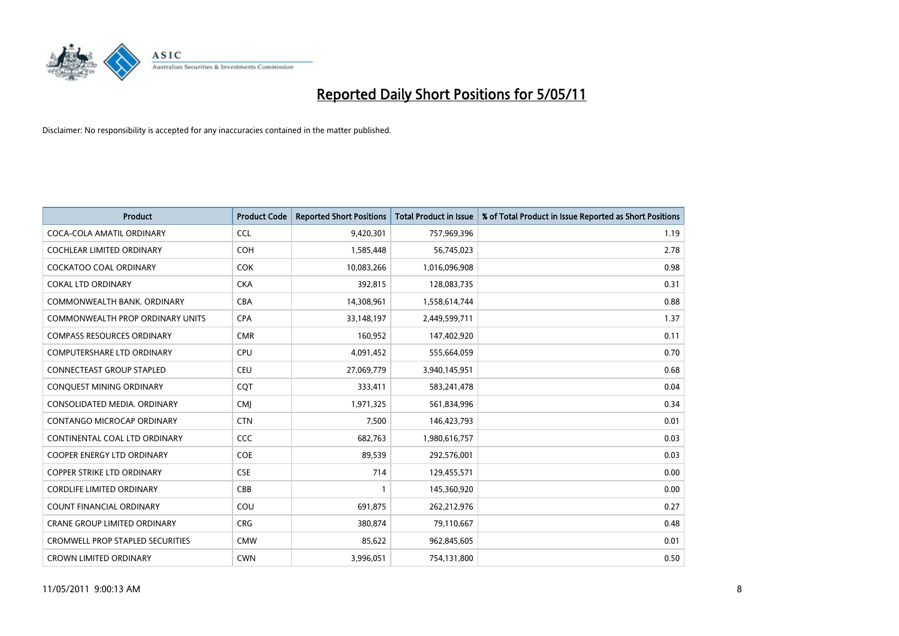

| <b>Product</b>                          | <b>Product Code</b> | <b>Reported Short Positions</b> | <b>Total Product in Issue</b> | % of Total Product in Issue Reported as Short Positions |
|-----------------------------------------|---------------------|---------------------------------|-------------------------------|---------------------------------------------------------|
| COCA-COLA AMATIL ORDINARY               | <b>CCL</b>          | 9,420,301                       | 757,969,396                   | 1.19                                                    |
| COCHLEAR LIMITED ORDINARY               | <b>COH</b>          | 1,585,448                       | 56,745,023                    | 2.78                                                    |
| <b>COCKATOO COAL ORDINARY</b>           | <b>COK</b>          | 10,083,266                      | 1,016,096,908                 | 0.98                                                    |
| <b>COKAL LTD ORDINARY</b>               | <b>CKA</b>          | 392,815                         | 128,083,735                   | 0.31                                                    |
| COMMONWEALTH BANK, ORDINARY             | <b>CBA</b>          | 14,308,961                      | 1,558,614,744                 | 0.88                                                    |
| <b>COMMONWEALTH PROP ORDINARY UNITS</b> | <b>CPA</b>          | 33,148,197                      | 2,449,599,711                 | 1.37                                                    |
| <b>COMPASS RESOURCES ORDINARY</b>       | <b>CMR</b>          | 160,952                         | 147,402,920                   | 0.11                                                    |
| <b>COMPUTERSHARE LTD ORDINARY</b>       | <b>CPU</b>          | 4,091,452                       | 555,664,059                   | 0.70                                                    |
| <b>CONNECTEAST GROUP STAPLED</b>        | <b>CEU</b>          | 27,069,779                      | 3,940,145,951                 | 0.68                                                    |
| CONQUEST MINING ORDINARY                | <b>COT</b>          | 333,411                         | 583,241,478                   | 0.04                                                    |
| CONSOLIDATED MEDIA. ORDINARY            | <b>CMI</b>          | 1,971,325                       | 561,834,996                   | 0.34                                                    |
| CONTANGO MICROCAP ORDINARY              | <b>CTN</b>          | 7,500                           | 146,423,793                   | 0.01                                                    |
| CONTINENTAL COAL LTD ORDINARY           | CCC                 | 682,763                         | 1,980,616,757                 | 0.03                                                    |
| COOPER ENERGY LTD ORDINARY              | <b>COE</b>          | 89,539                          | 292,576,001                   | 0.03                                                    |
| <b>COPPER STRIKE LTD ORDINARY</b>       | <b>CSE</b>          | 714                             | 129,455,571                   | 0.00                                                    |
| <b>CORDLIFE LIMITED ORDINARY</b>        | CBB                 |                                 | 145,360,920                   | 0.00                                                    |
| COUNT FINANCIAL ORDINARY                | COU                 | 691,875                         | 262,212,976                   | 0.27                                                    |
| CRANE GROUP LIMITED ORDINARY            | <b>CRG</b>          | 380,874                         | 79,110,667                    | 0.48                                                    |
| <b>CROMWELL PROP STAPLED SECURITIES</b> | <b>CMW</b>          | 85,622                          | 962,845,605                   | 0.01                                                    |
| <b>CROWN LIMITED ORDINARY</b>           | <b>CWN</b>          | 3,996,051                       | 754,131,800                   | 0.50                                                    |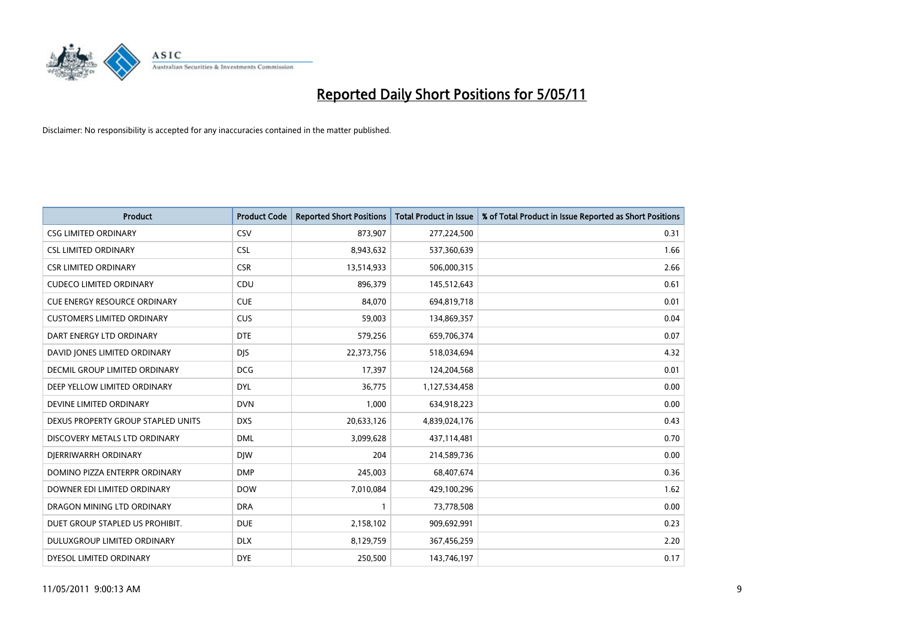

| <b>Product</b>                       | <b>Product Code</b> | <b>Reported Short Positions</b> | Total Product in Issue | % of Total Product in Issue Reported as Short Positions |
|--------------------------------------|---------------------|---------------------------------|------------------------|---------------------------------------------------------|
| <b>CSG LIMITED ORDINARY</b>          | CSV                 | 873,907                         | 277,224,500            | 0.31                                                    |
| <b>CSL LIMITED ORDINARY</b>          | <b>CSL</b>          | 8,943,632                       | 537,360,639            | 1.66                                                    |
| <b>CSR LIMITED ORDINARY</b>          | <b>CSR</b>          | 13,514,933                      | 506,000,315            | 2.66                                                    |
| <b>CUDECO LIMITED ORDINARY</b>       | CDU                 | 896,379                         | 145,512,643            | 0.61                                                    |
| <b>CUE ENERGY RESOURCE ORDINARY</b>  | <b>CUE</b>          | 84.070                          | 694,819,718            | 0.01                                                    |
| <b>CUSTOMERS LIMITED ORDINARY</b>    | CUS                 | 59,003                          | 134,869,357            | 0.04                                                    |
| DART ENERGY LTD ORDINARY             | <b>DTE</b>          | 579,256                         | 659,706,374            | 0.07                                                    |
| DAVID JONES LIMITED ORDINARY         | <b>DJS</b>          | 22,373,756                      | 518,034,694            | 4.32                                                    |
| <b>DECMIL GROUP LIMITED ORDINARY</b> | <b>DCG</b>          | 17,397                          | 124,204,568            | 0.01                                                    |
| DEEP YELLOW LIMITED ORDINARY         | <b>DYL</b>          | 36,775                          | 1,127,534,458          | 0.00                                                    |
| DEVINE LIMITED ORDINARY              | <b>DVN</b>          | 1,000                           | 634,918,223            | 0.00                                                    |
| DEXUS PROPERTY GROUP STAPLED UNITS   | <b>DXS</b>          | 20,633,126                      | 4,839,024,176          | 0.43                                                    |
| DISCOVERY METALS LTD ORDINARY        | <b>DML</b>          | 3,099,628                       | 437,114,481            | 0.70                                                    |
| DIERRIWARRH ORDINARY                 | <b>DIW</b>          | 204                             | 214,589,736            | 0.00                                                    |
| DOMINO PIZZA ENTERPR ORDINARY        | <b>DMP</b>          | 245,003                         | 68,407,674             | 0.36                                                    |
| DOWNER EDI LIMITED ORDINARY          | <b>DOW</b>          | 7,010,084                       | 429,100,296            | 1.62                                                    |
| DRAGON MINING LTD ORDINARY           | <b>DRA</b>          |                                 | 73,778,508             | 0.00                                                    |
| DUET GROUP STAPLED US PROHIBIT.      | <b>DUE</b>          | 2,158,102                       | 909,692,991            | 0.23                                                    |
| DULUXGROUP LIMITED ORDINARY          | <b>DLX</b>          | 8,129,759                       | 367,456,259            | 2.20                                                    |
| DYESOL LIMITED ORDINARY              | <b>DYE</b>          | 250,500                         | 143,746,197            | 0.17                                                    |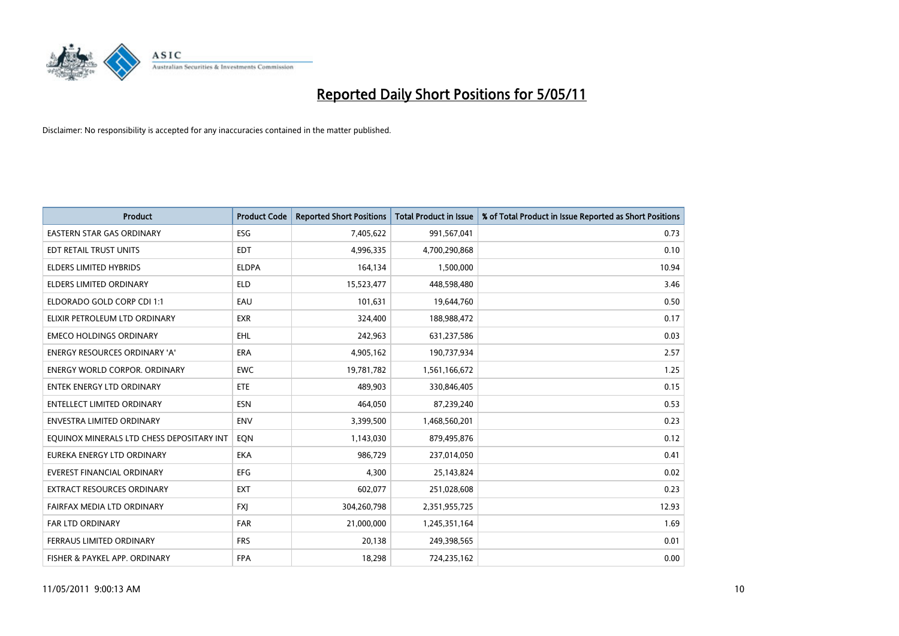

| <b>Product</b>                            | <b>Product Code</b> | <b>Reported Short Positions</b> | Total Product in Issue | % of Total Product in Issue Reported as Short Positions |
|-------------------------------------------|---------------------|---------------------------------|------------------------|---------------------------------------------------------|
| <b>EASTERN STAR GAS ORDINARY</b>          | ESG                 | 7,405,622                       | 991,567,041            | 0.73                                                    |
| EDT RETAIL TRUST UNITS                    | <b>EDT</b>          | 4,996,335                       | 4,700,290,868          | 0.10                                                    |
| <b>ELDERS LIMITED HYBRIDS</b>             | <b>ELDPA</b>        | 164,134                         | 1,500,000              | 10.94                                                   |
| ELDERS LIMITED ORDINARY                   | <b>ELD</b>          | 15,523,477                      | 448,598,480            | 3.46                                                    |
| ELDORADO GOLD CORP CDI 1:1                | EAU                 | 101,631                         | 19,644,760             | 0.50                                                    |
| ELIXIR PETROLEUM LTD ORDINARY             | <b>EXR</b>          | 324,400                         | 188,988,472            | 0.17                                                    |
| <b>EMECO HOLDINGS ORDINARY</b>            | EHL                 | 242,963                         | 631,237,586            | 0.03                                                    |
| ENERGY RESOURCES ORDINARY 'A'             | <b>ERA</b>          | 4,905,162                       | 190,737,934            | 2.57                                                    |
| <b>ENERGY WORLD CORPOR. ORDINARY</b>      | <b>EWC</b>          | 19,781,782                      | 1,561,166,672          | 1.25                                                    |
| <b>ENTEK ENERGY LTD ORDINARY</b>          | ETE                 | 489,903                         | 330,846,405            | 0.15                                                    |
| ENTELLECT LIMITED ORDINARY                | <b>ESN</b>          | 464,050                         | 87,239,240             | 0.53                                                    |
| ENVESTRA LIMITED ORDINARY                 | <b>ENV</b>          | 3,399,500                       | 1,468,560,201          | 0.23                                                    |
| EQUINOX MINERALS LTD CHESS DEPOSITARY INT | EQN                 | 1,143,030                       | 879,495,876            | 0.12                                                    |
| EUREKA ENERGY LTD ORDINARY                | <b>EKA</b>          | 986.729                         | 237,014,050            | 0.41                                                    |
| <b>EVEREST FINANCIAL ORDINARY</b>         | <b>EFG</b>          | 4,300                           | 25,143,824             | 0.02                                                    |
| <b>EXTRACT RESOURCES ORDINARY</b>         | <b>EXT</b>          | 602.077                         | 251,028,608            | 0.23                                                    |
| FAIRFAX MEDIA LTD ORDINARY                | <b>FXI</b>          | 304,260,798                     | 2,351,955,725          | 12.93                                                   |
| FAR LTD ORDINARY                          | <b>FAR</b>          | 21,000,000                      | 1,245,351,164          | 1.69                                                    |
| FERRAUS LIMITED ORDINARY                  | <b>FRS</b>          | 20,138                          | 249,398,565            | 0.01                                                    |
| FISHER & PAYKEL APP. ORDINARY             | <b>FPA</b>          | 18,298                          | 724,235,162            | 0.00                                                    |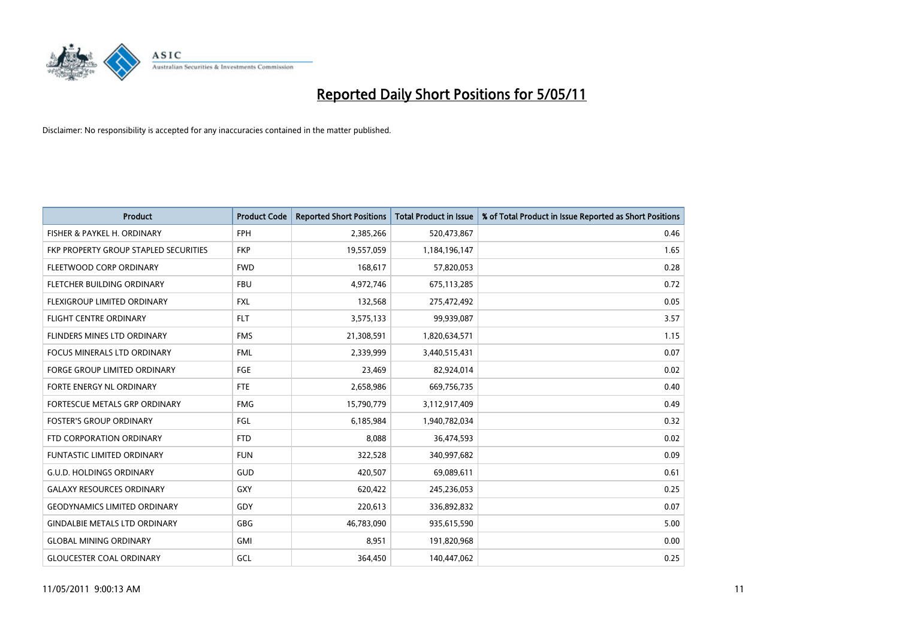

| <b>Product</b>                        | <b>Product Code</b> | <b>Reported Short Positions</b> | Total Product in Issue | % of Total Product in Issue Reported as Short Positions |
|---------------------------------------|---------------------|---------------------------------|------------------------|---------------------------------------------------------|
| FISHER & PAYKEL H. ORDINARY           | <b>FPH</b>          | 2,385,266                       | 520,473,867            | 0.46                                                    |
| FKP PROPERTY GROUP STAPLED SECURITIES | <b>FKP</b>          | 19,557,059                      | 1,184,196,147          | 1.65                                                    |
| FLEETWOOD CORP ORDINARY               | <b>FWD</b>          | 168,617                         | 57,820,053             | 0.28                                                    |
| FLETCHER BUILDING ORDINARY            | <b>FBU</b>          | 4,972,746                       | 675,113,285            | 0.72                                                    |
| FLEXIGROUP LIMITED ORDINARY           | <b>FXL</b>          | 132,568                         | 275,472,492            | 0.05                                                    |
| <b>FLIGHT CENTRE ORDINARY</b>         | <b>FLT</b>          | 3,575,133                       | 99,939,087             | 3.57                                                    |
| FLINDERS MINES LTD ORDINARY           | <b>FMS</b>          | 21,308,591                      | 1,820,634,571          | 1.15                                                    |
| <b>FOCUS MINERALS LTD ORDINARY</b>    | <b>FML</b>          | 2,339,999                       | 3,440,515,431          | 0.07                                                    |
| FORGE GROUP LIMITED ORDINARY          | FGE                 | 23,469                          | 82,924,014             | 0.02                                                    |
| FORTE ENERGY NL ORDINARY              | <b>FTE</b>          | 2,658,986                       | 669,756,735            | 0.40                                                    |
| FORTESCUE METALS GRP ORDINARY         | <b>FMG</b>          | 15,790,779                      | 3,112,917,409          | 0.49                                                    |
| <b>FOSTER'S GROUP ORDINARY</b>        | FGL                 | 6,185,984                       | 1,940,782,034          | 0.32                                                    |
| FTD CORPORATION ORDINARY              | <b>FTD</b>          | 8,088                           | 36,474,593             | 0.02                                                    |
| <b>FUNTASTIC LIMITED ORDINARY</b>     | <b>FUN</b>          | 322,528                         | 340,997,682            | 0.09                                                    |
| <b>G.U.D. HOLDINGS ORDINARY</b>       | <b>GUD</b>          | 420,507                         | 69,089,611             | 0.61                                                    |
| <b>GALAXY RESOURCES ORDINARY</b>      | GXY                 | 620,422                         | 245,236,053            | 0.25                                                    |
| <b>GEODYNAMICS LIMITED ORDINARY</b>   | GDY                 | 220,613                         | 336,892,832            | 0.07                                                    |
| <b>GINDALBIE METALS LTD ORDINARY</b>  | <b>GBG</b>          | 46,783,090                      | 935,615,590            | 5.00                                                    |
| <b>GLOBAL MINING ORDINARY</b>         | <b>GMI</b>          | 8,951                           | 191,820,968            | 0.00                                                    |
| <b>GLOUCESTER COAL ORDINARY</b>       | GCL                 | 364,450                         | 140,447,062            | 0.25                                                    |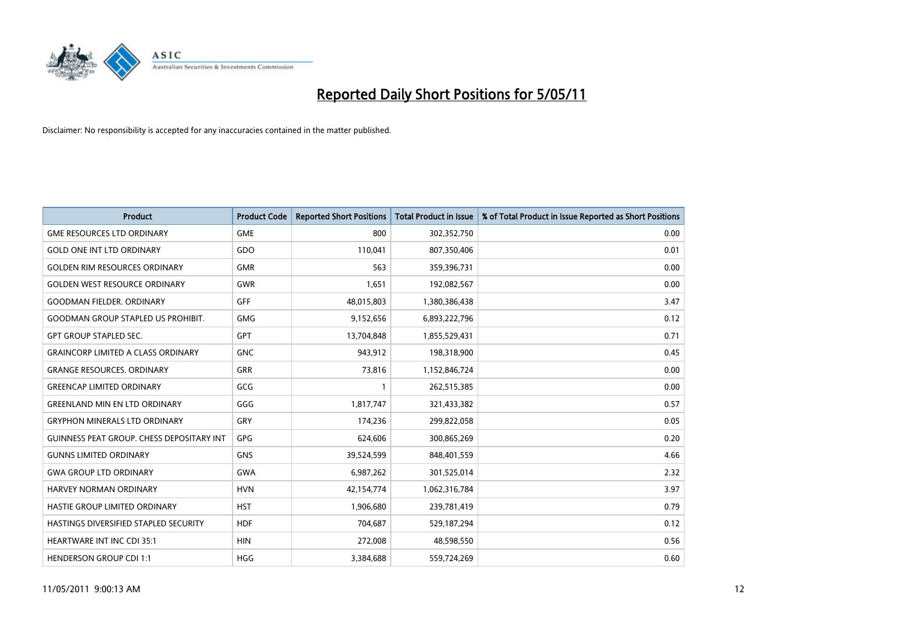

| <b>Product</b>                                   | <b>Product Code</b> | <b>Reported Short Positions</b> | Total Product in Issue | % of Total Product in Issue Reported as Short Positions |
|--------------------------------------------------|---------------------|---------------------------------|------------------------|---------------------------------------------------------|
| <b>GME RESOURCES LTD ORDINARY</b>                | <b>GME</b>          | 800                             | 302,352,750            | 0.00                                                    |
| <b>GOLD ONE INT LTD ORDINARY</b>                 | GDO                 | 110,041                         | 807,350,406            | 0.01                                                    |
| <b>GOLDEN RIM RESOURCES ORDINARY</b>             | <b>GMR</b>          | 563                             | 359,396,731            | 0.00                                                    |
| <b>GOLDEN WEST RESOURCE ORDINARY</b>             | <b>GWR</b>          | 1,651                           | 192,082,567            | 0.00                                                    |
| <b>GOODMAN FIELDER, ORDINARY</b>                 | GFF                 | 48,015,803                      | 1,380,386,438          | 3.47                                                    |
| <b>GOODMAN GROUP STAPLED US PROHIBIT.</b>        | <b>GMG</b>          | 9,152,656                       | 6,893,222,796          | 0.12                                                    |
| <b>GPT GROUP STAPLED SEC.</b>                    | <b>GPT</b>          | 13,704,848                      | 1,855,529,431          | 0.71                                                    |
| <b>GRAINCORP LIMITED A CLASS ORDINARY</b>        | <b>GNC</b>          | 943,912                         | 198,318,900            | 0.45                                                    |
| <b>GRANGE RESOURCES. ORDINARY</b>                | GRR                 | 73,816                          | 1,152,846,724          | 0.00                                                    |
| <b>GREENCAP LIMITED ORDINARY</b>                 | GCG                 |                                 | 262,515,385            | 0.00                                                    |
| <b>GREENLAND MIN EN LTD ORDINARY</b>             | GGG                 | 1,817,747                       | 321,433,382            | 0.57                                                    |
| <b>GRYPHON MINERALS LTD ORDINARY</b>             | GRY                 | 174,236                         | 299,822,058            | 0.05                                                    |
| <b>GUINNESS PEAT GROUP. CHESS DEPOSITARY INT</b> | GPG                 | 624,606                         | 300,865,269            | 0.20                                                    |
| <b>GUNNS LIMITED ORDINARY</b>                    | <b>GNS</b>          | 39,524,599                      | 848,401,559            | 4.66                                                    |
| <b>GWA GROUP LTD ORDINARY</b>                    | <b>GWA</b>          | 6,987,262                       | 301,525,014            | 2.32                                                    |
| HARVEY NORMAN ORDINARY                           | <b>HVN</b>          | 42,154,774                      | 1,062,316,784          | 3.97                                                    |
| HASTIE GROUP LIMITED ORDINARY                    | <b>HST</b>          | 1,906,680                       | 239,781,419            | 0.79                                                    |
| <b>HASTINGS DIVERSIFIED STAPLED SECURITY</b>     | <b>HDF</b>          | 704,687                         | 529,187,294            | 0.12                                                    |
| <b>HEARTWARE INT INC CDI 35:1</b>                | <b>HIN</b>          | 272,008                         | 48,598,550             | 0.56                                                    |
| <b>HENDERSON GROUP CDI 1:1</b>                   | <b>HGG</b>          | 3,384,688                       | 559,724,269            | 0.60                                                    |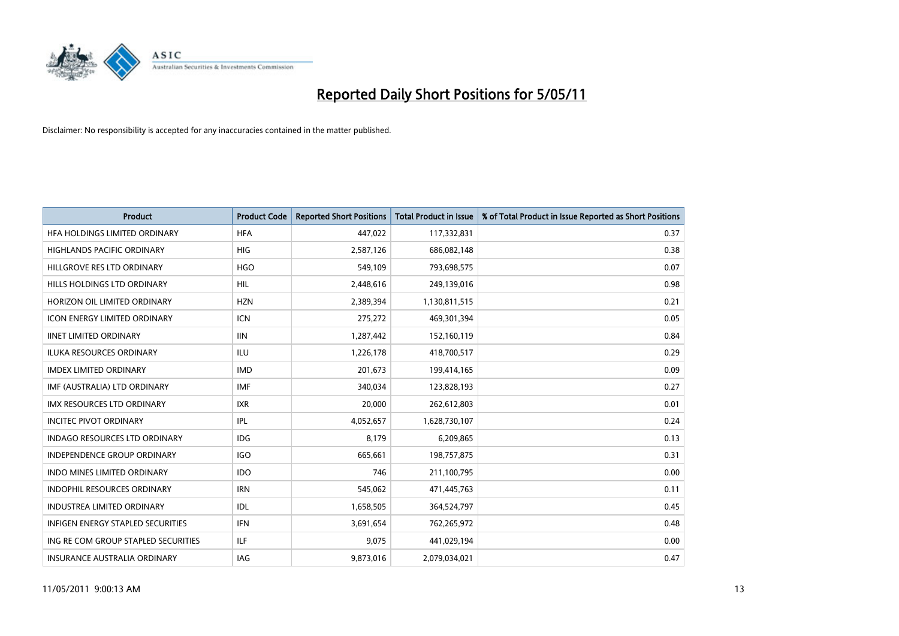

| <b>Product</b>                       | <b>Product Code</b> | <b>Reported Short Positions</b> | <b>Total Product in Issue</b> | % of Total Product in Issue Reported as Short Positions |
|--------------------------------------|---------------------|---------------------------------|-------------------------------|---------------------------------------------------------|
| HFA HOLDINGS LIMITED ORDINARY        | <b>HFA</b>          | 447,022                         | 117,332,831                   | 0.37                                                    |
| HIGHLANDS PACIFIC ORDINARY           | HIG                 | 2,587,126                       | 686,082,148                   | 0.38                                                    |
| HILLGROVE RES LTD ORDINARY           | <b>HGO</b>          | 549,109                         | 793,698,575                   | 0.07                                                    |
| HILLS HOLDINGS LTD ORDINARY          | <b>HIL</b>          | 2,448,616                       | 249,139,016                   | 0.98                                                    |
| HORIZON OIL LIMITED ORDINARY         | <b>HZN</b>          | 2,389,394                       | 1,130,811,515                 | 0.21                                                    |
| <b>ICON ENERGY LIMITED ORDINARY</b>  | <b>ICN</b>          | 275,272                         | 469,301,394                   | 0.05                                                    |
| <b>IINET LIMITED ORDINARY</b>        | <b>IIN</b>          | 1,287,442                       | 152,160,119                   | 0.84                                                    |
| <b>ILUKA RESOURCES ORDINARY</b>      | <b>ILU</b>          | 1,226,178                       | 418,700,517                   | 0.29                                                    |
| <b>IMDEX LIMITED ORDINARY</b>        | <b>IMD</b>          | 201,673                         | 199,414,165                   | 0.09                                                    |
| IMF (AUSTRALIA) LTD ORDINARY         | <b>IMF</b>          | 340,034                         | 123,828,193                   | 0.27                                                    |
| IMX RESOURCES LTD ORDINARY           | <b>IXR</b>          | 20,000                          | 262,612,803                   | 0.01                                                    |
| <b>INCITEC PIVOT ORDINARY</b>        | <b>IPL</b>          | 4,052,657                       | 1,628,730,107                 | 0.24                                                    |
| <b>INDAGO RESOURCES LTD ORDINARY</b> | <b>IDG</b>          | 8,179                           | 6,209,865                     | 0.13                                                    |
| <b>INDEPENDENCE GROUP ORDINARY</b>   | <b>IGO</b>          | 665,661                         | 198,757,875                   | 0.31                                                    |
| <b>INDO MINES LIMITED ORDINARY</b>   | <b>IDO</b>          | 746                             | 211,100,795                   | 0.00                                                    |
| INDOPHIL RESOURCES ORDINARY          | <b>IRN</b>          | 545,062                         | 471,445,763                   | 0.11                                                    |
| <b>INDUSTREA LIMITED ORDINARY</b>    | IDL                 | 1,658,505                       | 364,524,797                   | 0.45                                                    |
| INFIGEN ENERGY STAPLED SECURITIES    | <b>IFN</b>          | 3,691,654                       | 762,265,972                   | 0.48                                                    |
| ING RE COM GROUP STAPLED SECURITIES  | <b>ILF</b>          | 9.075                           | 441,029,194                   | 0.00                                                    |
| <b>INSURANCE AUSTRALIA ORDINARY</b>  | <b>IAG</b>          | 9,873,016                       | 2,079,034,021                 | 0.47                                                    |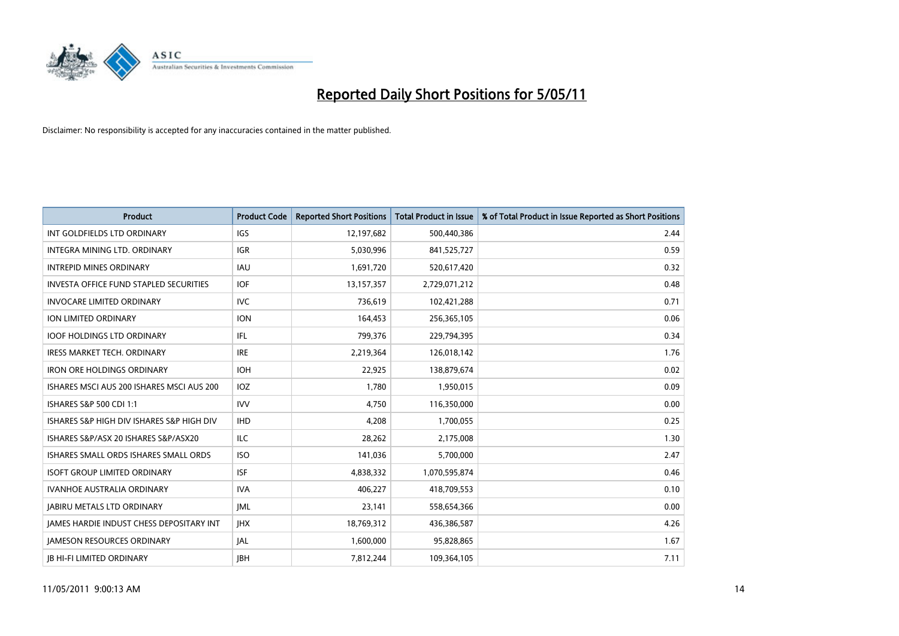

| <b>Product</b>                                  | <b>Product Code</b> | <b>Reported Short Positions</b> | <b>Total Product in Issue</b> | % of Total Product in Issue Reported as Short Positions |
|-------------------------------------------------|---------------------|---------------------------------|-------------------------------|---------------------------------------------------------|
| INT GOLDFIELDS LTD ORDINARY                     | <b>IGS</b>          | 12,197,682                      | 500,440,386                   | 2.44                                                    |
| INTEGRA MINING LTD, ORDINARY                    | <b>IGR</b>          | 5,030,996                       | 841,525,727                   | 0.59                                                    |
| <b>INTREPID MINES ORDINARY</b>                  | <b>IAU</b>          | 1,691,720                       | 520,617,420                   | 0.32                                                    |
| INVESTA OFFICE FUND STAPLED SECURITIES          | IOF                 | 13,157,357                      | 2,729,071,212                 | 0.48                                                    |
| <b>INVOCARE LIMITED ORDINARY</b>                | <b>IVC</b>          | 736.619                         | 102,421,288                   | 0.71                                                    |
| <b>ION LIMITED ORDINARY</b>                     | <b>ION</b>          | 164,453                         | 256,365,105                   | 0.06                                                    |
| <b>IOOF HOLDINGS LTD ORDINARY</b>               | IFL                 | 799.376                         | 229,794,395                   | 0.34                                                    |
| <b>IRESS MARKET TECH. ORDINARY</b>              | <b>IRE</b>          | 2,219,364                       | 126,018,142                   | 1.76                                                    |
| <b>IRON ORE HOLDINGS ORDINARY</b>               | <b>IOH</b>          | 22,925                          | 138,879,674                   | 0.02                                                    |
| ISHARES MSCI AUS 200 ISHARES MSCI AUS 200       | <b>IOZ</b>          | 1,780                           | 1,950,015                     | 0.09                                                    |
| ISHARES S&P 500 CDI 1:1                         | <b>IVV</b>          | 4,750                           | 116,350,000                   | 0.00                                                    |
| ISHARES S&P HIGH DIV ISHARES S&P HIGH DIV       | <b>IHD</b>          | 4,208                           | 1,700,055                     | 0.25                                                    |
| ISHARES S&P/ASX 20 ISHARES S&P/ASX20            | <b>ILC</b>          | 28.262                          | 2,175,008                     | 1.30                                                    |
| ISHARES SMALL ORDS ISHARES SMALL ORDS           | <b>ISO</b>          | 141,036                         | 5,700,000                     | 2.47                                                    |
| <b>ISOFT GROUP LIMITED ORDINARY</b>             | <b>ISF</b>          | 4,838,332                       | 1,070,595,874                 | 0.46                                                    |
| <b>IVANHOE AUSTRALIA ORDINARY</b>               | <b>IVA</b>          | 406,227                         | 418,709,553                   | 0.10                                                    |
| <b>JABIRU METALS LTD ORDINARY</b>               | <b>JML</b>          | 23,141                          | 558,654,366                   | 0.00                                                    |
| <b>JAMES HARDIE INDUST CHESS DEPOSITARY INT</b> | <b>IHX</b>          | 18,769,312                      | 436,386,587                   | 4.26                                                    |
| <b>IAMESON RESOURCES ORDINARY</b>               | <b>JAL</b>          | 1,600,000                       | 95,828,865                    | 1.67                                                    |
| <b>IB HI-FI LIMITED ORDINARY</b>                | <b>IBH</b>          | 7,812,244                       | 109,364,105                   | 7.11                                                    |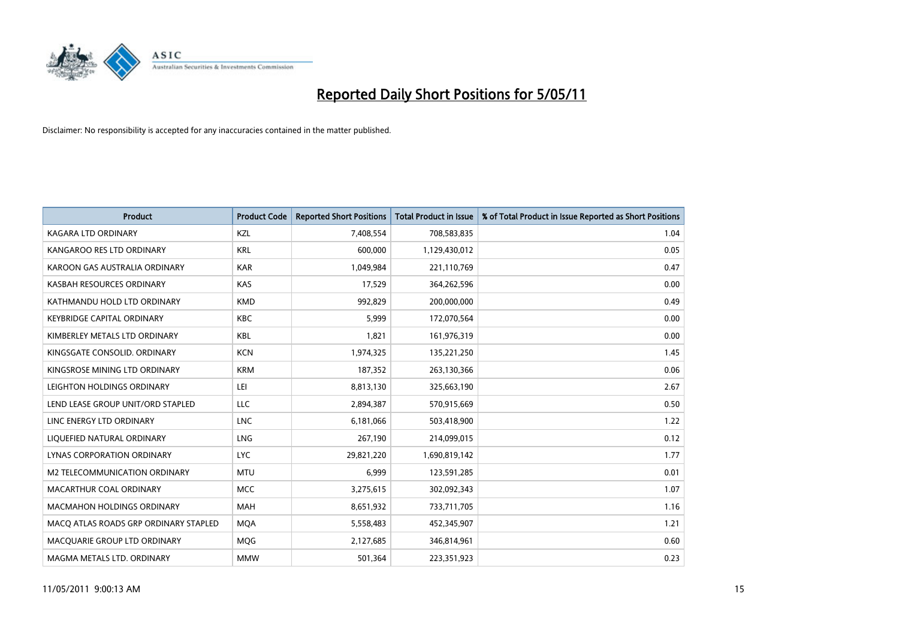

| <b>Product</b>                        | <b>Product Code</b> | <b>Reported Short Positions</b> | <b>Total Product in Issue</b> | % of Total Product in Issue Reported as Short Positions |
|---------------------------------------|---------------------|---------------------------------|-------------------------------|---------------------------------------------------------|
| <b>KAGARA LTD ORDINARY</b>            | KZL                 | 7,408,554                       | 708,583,835                   | 1.04                                                    |
| KANGAROO RES LTD ORDINARY             | <b>KRL</b>          | 600.000                         | 1,129,430,012                 | 0.05                                                    |
| KAROON GAS AUSTRALIA ORDINARY         | <b>KAR</b>          | 1,049,984                       | 221,110,769                   | 0.47                                                    |
| KASBAH RESOURCES ORDINARY             | KAS                 | 17,529                          | 364,262,596                   | 0.00                                                    |
| KATHMANDU HOLD LTD ORDINARY           | <b>KMD</b>          | 992,829                         | 200,000,000                   | 0.49                                                    |
| <b>KEYBRIDGE CAPITAL ORDINARY</b>     | <b>KBC</b>          | 5,999                           | 172,070,564                   | 0.00                                                    |
| KIMBERLEY METALS LTD ORDINARY         | <b>KBL</b>          | 1.821                           | 161,976,319                   | 0.00                                                    |
| KINGSGATE CONSOLID, ORDINARY          | <b>KCN</b>          | 1,974,325                       | 135,221,250                   | 1.45                                                    |
| KINGSROSE MINING LTD ORDINARY         | <b>KRM</b>          | 187,352                         | 263,130,366                   | 0.06                                                    |
| LEIGHTON HOLDINGS ORDINARY            | LEI                 | 8,813,130                       | 325,663,190                   | 2.67                                                    |
| LEND LEASE GROUP UNIT/ORD STAPLED     | LLC                 | 2,894,387                       | 570,915,669                   | 0.50                                                    |
| LINC ENERGY LTD ORDINARY              | <b>LNC</b>          | 6,181,066                       | 503,418,900                   | 1.22                                                    |
| LIQUEFIED NATURAL ORDINARY            | <b>LNG</b>          | 267,190                         | 214,099,015                   | 0.12                                                    |
| LYNAS CORPORATION ORDINARY            | <b>LYC</b>          | 29,821,220                      | 1,690,819,142                 | 1.77                                                    |
| M2 TELECOMMUNICATION ORDINARY         | <b>MTU</b>          | 6,999                           | 123,591,285                   | 0.01                                                    |
| MACARTHUR COAL ORDINARY               | <b>MCC</b>          | 3,275,615                       | 302,092,343                   | 1.07                                                    |
| <b>MACMAHON HOLDINGS ORDINARY</b>     | <b>MAH</b>          | 8,651,932                       | 733,711,705                   | 1.16                                                    |
| MACO ATLAS ROADS GRP ORDINARY STAPLED | <b>MOA</b>          | 5,558,483                       | 452,345,907                   | 1.21                                                    |
| MACOUARIE GROUP LTD ORDINARY          | <b>MOG</b>          | 2,127,685                       | 346,814,961                   | 0.60                                                    |
| MAGMA METALS LTD. ORDINARY            | <b>MMW</b>          | 501,364                         | 223,351,923                   | 0.23                                                    |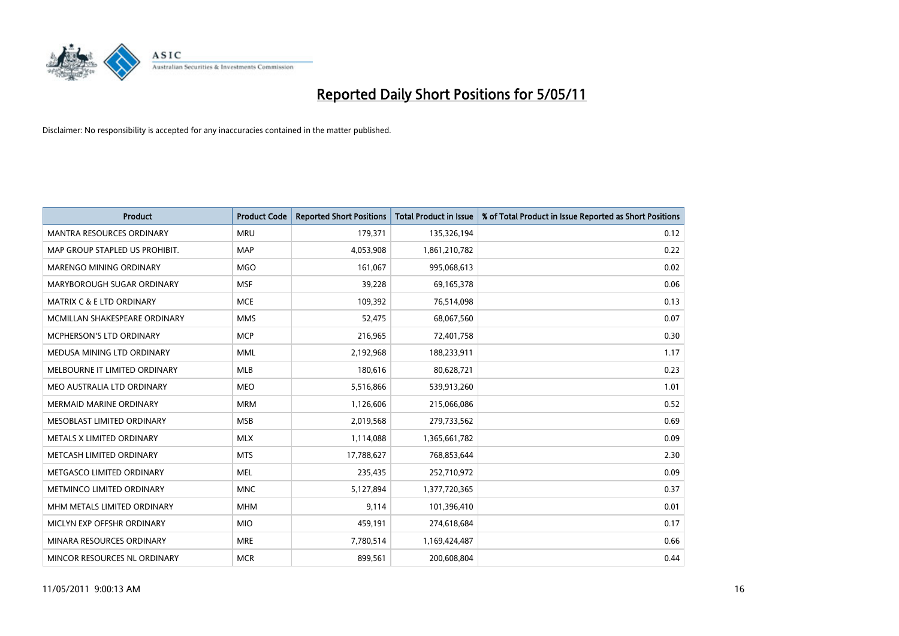

| <b>Product</b>                       | <b>Product Code</b> | <b>Reported Short Positions</b> | <b>Total Product in Issue</b> | % of Total Product in Issue Reported as Short Positions |
|--------------------------------------|---------------------|---------------------------------|-------------------------------|---------------------------------------------------------|
| <b>MANTRA RESOURCES ORDINARY</b>     | <b>MRU</b>          | 179,371                         | 135,326,194                   | 0.12                                                    |
| MAP GROUP STAPLED US PROHIBIT.       | <b>MAP</b>          | 4,053,908                       | 1,861,210,782                 | 0.22                                                    |
| MARENGO MINING ORDINARY              | <b>MGO</b>          | 161,067                         | 995,068,613                   | 0.02                                                    |
| MARYBOROUGH SUGAR ORDINARY           | <b>MSF</b>          | 39,228                          | 69,165,378                    | 0.06                                                    |
| <b>MATRIX C &amp; E LTD ORDINARY</b> | <b>MCE</b>          | 109,392                         | 76,514,098                    | 0.13                                                    |
| MCMILLAN SHAKESPEARE ORDINARY        | <b>MMS</b>          | 52,475                          | 68,067,560                    | 0.07                                                    |
| <b>MCPHERSON'S LTD ORDINARY</b>      | <b>MCP</b>          | 216,965                         | 72,401,758                    | 0.30                                                    |
| MEDUSA MINING LTD ORDINARY           | <b>MML</b>          | 2,192,968                       | 188,233,911                   | 1.17                                                    |
| MELBOURNE IT LIMITED ORDINARY        | <b>MLB</b>          | 180,616                         | 80,628,721                    | 0.23                                                    |
| MEO AUSTRALIA LTD ORDINARY           | <b>MEO</b>          | 5,516,866                       | 539,913,260                   | 1.01                                                    |
| MERMAID MARINE ORDINARY              | <b>MRM</b>          | 1,126,606                       | 215,066,086                   | 0.52                                                    |
| MESOBLAST LIMITED ORDINARY           | <b>MSB</b>          | 2,019,568                       | 279,733,562                   | 0.69                                                    |
| METALS X LIMITED ORDINARY            | <b>MLX</b>          | 1,114,088                       | 1,365,661,782                 | 0.09                                                    |
| METCASH LIMITED ORDINARY             | <b>MTS</b>          | 17,788,627                      | 768,853,644                   | 2.30                                                    |
| METGASCO LIMITED ORDINARY            | <b>MEL</b>          | 235,435                         | 252,710,972                   | 0.09                                                    |
| METMINCO LIMITED ORDINARY            | <b>MNC</b>          | 5,127,894                       | 1,377,720,365                 | 0.37                                                    |
| MHM METALS LIMITED ORDINARY          | <b>MHM</b>          | 9,114                           | 101,396,410                   | 0.01                                                    |
| MICLYN EXP OFFSHR ORDINARY           | <b>MIO</b>          | 459,191                         | 274,618,684                   | 0.17                                                    |
| MINARA RESOURCES ORDINARY            | <b>MRE</b>          | 7,780,514                       | 1,169,424,487                 | 0.66                                                    |
| MINCOR RESOURCES NL ORDINARY         | <b>MCR</b>          | 899,561                         | 200,608,804                   | 0.44                                                    |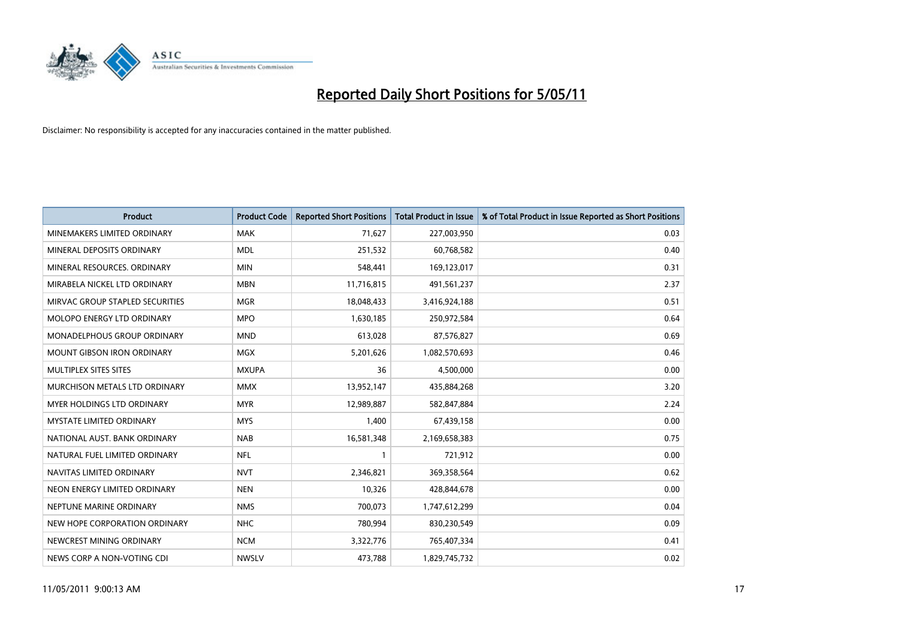

| <b>Product</b>                     | <b>Product Code</b> | <b>Reported Short Positions</b> | Total Product in Issue | % of Total Product in Issue Reported as Short Positions |
|------------------------------------|---------------------|---------------------------------|------------------------|---------------------------------------------------------|
| MINEMAKERS LIMITED ORDINARY        | <b>MAK</b>          | 71,627                          | 227,003,950            | 0.03                                                    |
| MINERAL DEPOSITS ORDINARY          | <b>MDL</b>          | 251,532                         | 60,768,582             | 0.40                                                    |
| MINERAL RESOURCES, ORDINARY        | <b>MIN</b>          | 548,441                         | 169,123,017            | 0.31                                                    |
| MIRABELA NICKEL LTD ORDINARY       | <b>MBN</b>          | 11,716,815                      | 491,561,237            | 2.37                                                    |
| MIRVAC GROUP STAPLED SECURITIES    | <b>MGR</b>          | 18,048,433                      | 3,416,924,188          | 0.51                                                    |
| <b>MOLOPO ENERGY LTD ORDINARY</b>  | <b>MPO</b>          | 1,630,185                       | 250,972,584            | 0.64                                                    |
| <b>MONADELPHOUS GROUP ORDINARY</b> | <b>MND</b>          | 613,028                         | 87,576,827             | 0.69                                                    |
| <b>MOUNT GIBSON IRON ORDINARY</b>  | <b>MGX</b>          | 5,201,626                       | 1,082,570,693          | 0.46                                                    |
| MULTIPLEX SITES SITES              | <b>MXUPA</b>        | 36                              | 4,500,000              | 0.00                                                    |
| MURCHISON METALS LTD ORDINARY      | <b>MMX</b>          | 13,952,147                      | 435,884,268            | 3.20                                                    |
| MYER HOLDINGS LTD ORDINARY         | <b>MYR</b>          | 12,989,887                      | 582,847,884            | 2.24                                                    |
| <b>MYSTATE LIMITED ORDINARY</b>    | <b>MYS</b>          | 1,400                           | 67,439,158             | 0.00                                                    |
| NATIONAL AUST. BANK ORDINARY       | <b>NAB</b>          | 16,581,348                      | 2,169,658,383          | 0.75                                                    |
| NATURAL FUEL LIMITED ORDINARY      | <b>NFL</b>          |                                 | 721,912                | 0.00                                                    |
| NAVITAS LIMITED ORDINARY           | <b>NVT</b>          | 2,346,821                       | 369,358,564            | 0.62                                                    |
| NEON ENERGY LIMITED ORDINARY       | <b>NEN</b>          | 10,326                          | 428,844,678            | 0.00                                                    |
| NEPTUNE MARINE ORDINARY            | <b>NMS</b>          | 700,073                         | 1,747,612,299          | 0.04                                                    |
| NEW HOPE CORPORATION ORDINARY      | <b>NHC</b>          | 780,994                         | 830,230,549            | 0.09                                                    |
| NEWCREST MINING ORDINARY           | <b>NCM</b>          | 3,322,776                       | 765,407,334            | 0.41                                                    |
| NEWS CORP A NON-VOTING CDI         | <b>NWSLV</b>        | 473.788                         | 1,829,745,732          | 0.02                                                    |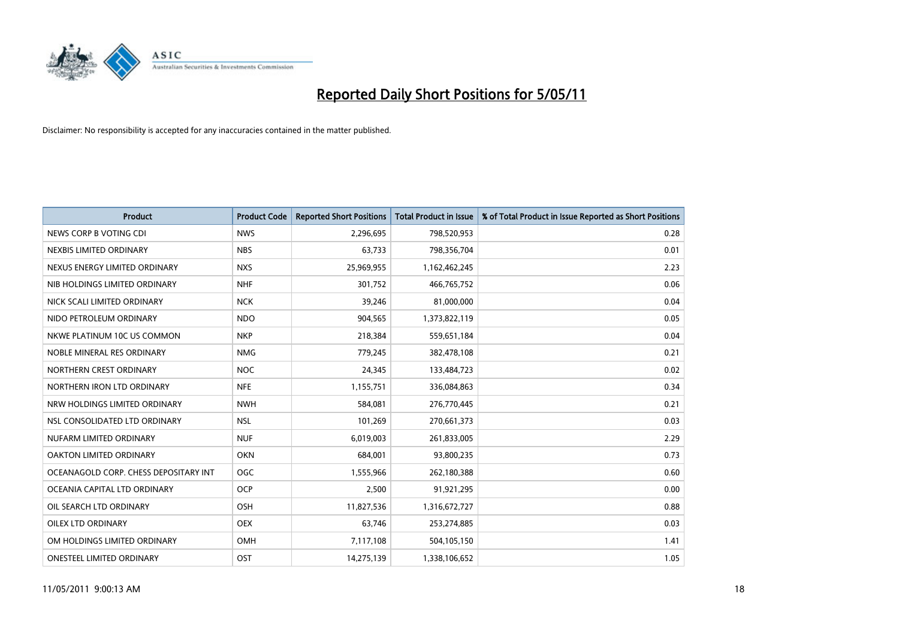

| <b>Product</b>                        | <b>Product Code</b> | <b>Reported Short Positions</b> | Total Product in Issue | % of Total Product in Issue Reported as Short Positions |
|---------------------------------------|---------------------|---------------------------------|------------------------|---------------------------------------------------------|
| NEWS CORP B VOTING CDI                | <b>NWS</b>          | 2,296,695                       | 798,520,953            | 0.28                                                    |
| NEXBIS LIMITED ORDINARY               | <b>NBS</b>          | 63,733                          | 798,356,704            | 0.01                                                    |
| NEXUS ENERGY LIMITED ORDINARY         | <b>NXS</b>          | 25,969,955                      | 1,162,462,245          | 2.23                                                    |
| NIB HOLDINGS LIMITED ORDINARY         | <b>NHF</b>          | 301,752                         | 466,765,752            | 0.06                                                    |
| NICK SCALI LIMITED ORDINARY           | <b>NCK</b>          | 39,246                          | 81,000,000             | 0.04                                                    |
| NIDO PETROLEUM ORDINARY               | <b>NDO</b>          | 904,565                         | 1,373,822,119          | 0.05                                                    |
| NKWE PLATINUM 10C US COMMON           | <b>NKP</b>          | 218,384                         | 559,651,184            | 0.04                                                    |
| NOBLE MINERAL RES ORDINARY            | <b>NMG</b>          | 779,245                         | 382,478,108            | 0.21                                                    |
| NORTHERN CREST ORDINARY               | <b>NOC</b>          | 24,345                          | 133,484,723            | 0.02                                                    |
| NORTHERN IRON LTD ORDINARY            | <b>NFE</b>          | 1,155,751                       | 336,084,863            | 0.34                                                    |
| NRW HOLDINGS LIMITED ORDINARY         | <b>NWH</b>          | 584,081                         | 276,770,445            | 0.21                                                    |
| NSL CONSOLIDATED LTD ORDINARY         | <b>NSL</b>          | 101,269                         | 270,661,373            | 0.03                                                    |
| NUFARM LIMITED ORDINARY               | <b>NUF</b>          | 6,019,003                       | 261,833,005            | 2.29                                                    |
| OAKTON LIMITED ORDINARY               | <b>OKN</b>          | 684,001                         | 93,800,235             | 0.73                                                    |
| OCEANAGOLD CORP. CHESS DEPOSITARY INT | <b>OGC</b>          | 1,555,966                       | 262,180,388            | 0.60                                                    |
| OCEANIA CAPITAL LTD ORDINARY          | <b>OCP</b>          | 2,500                           | 91,921,295             | 0.00                                                    |
| OIL SEARCH LTD ORDINARY               | OSH                 | 11,827,536                      | 1,316,672,727          | 0.88                                                    |
| <b>OILEX LTD ORDINARY</b>             | <b>OEX</b>          | 63,746                          | 253,274,885            | 0.03                                                    |
| OM HOLDINGS LIMITED ORDINARY          | <b>OMH</b>          | 7,117,108                       | 504,105,150            | 1.41                                                    |
| ONESTEEL LIMITED ORDINARY             | OST                 | 14,275,139                      | 1,338,106,652          | 1.05                                                    |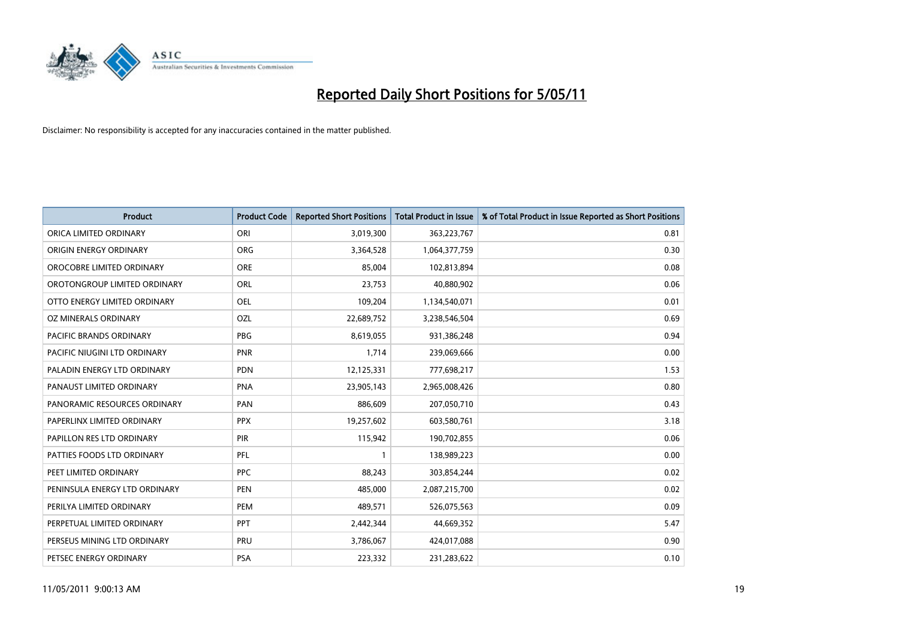

| <b>Product</b>                 | <b>Product Code</b> | <b>Reported Short Positions</b> | <b>Total Product in Issue</b> | % of Total Product in Issue Reported as Short Positions |
|--------------------------------|---------------------|---------------------------------|-------------------------------|---------------------------------------------------------|
| ORICA LIMITED ORDINARY         | ORI                 | 3,019,300                       | 363,223,767                   | 0.81                                                    |
| ORIGIN ENERGY ORDINARY         | <b>ORG</b>          | 3,364,528                       | 1,064,377,759                 | 0.30                                                    |
| OROCOBRE LIMITED ORDINARY      | <b>ORE</b>          | 85,004                          | 102,813,894                   | 0.08                                                    |
| OROTONGROUP LIMITED ORDINARY   | ORL                 | 23,753                          | 40,880,902                    | 0.06                                                    |
| OTTO ENERGY LIMITED ORDINARY   | OEL                 | 109,204                         | 1,134,540,071                 | 0.01                                                    |
| OZ MINERALS ORDINARY           | OZL                 | 22,689,752                      | 3,238,546,504                 | 0.69                                                    |
| <b>PACIFIC BRANDS ORDINARY</b> | <b>PBG</b>          | 8,619,055                       | 931,386,248                   | 0.94                                                    |
| PACIFIC NIUGINI LTD ORDINARY   | PNR                 | 1,714                           | 239,069,666                   | 0.00                                                    |
| PALADIN ENERGY LTD ORDINARY    | <b>PDN</b>          | 12,125,331                      | 777,698,217                   | 1.53                                                    |
| PANAUST LIMITED ORDINARY       | <b>PNA</b>          | 23,905,143                      | 2,965,008,426                 | 0.80                                                    |
| PANORAMIC RESOURCES ORDINARY   | PAN                 | 886,609                         | 207,050,710                   | 0.43                                                    |
| PAPERLINX LIMITED ORDINARY     | <b>PPX</b>          | 19,257,602                      | 603,580,761                   | 3.18                                                    |
| PAPILLON RES LTD ORDINARY      | PIR                 | 115,942                         | 190,702,855                   | 0.06                                                    |
| PATTIES FOODS LTD ORDINARY     | PFL                 |                                 | 138,989,223                   | 0.00                                                    |
| PEET LIMITED ORDINARY          | <b>PPC</b>          | 88,243                          | 303,854,244                   | 0.02                                                    |
| PENINSULA ENERGY LTD ORDINARY  | <b>PEN</b>          | 485,000                         | 2,087,215,700                 | 0.02                                                    |
| PERILYA LIMITED ORDINARY       | PEM                 | 489,571                         | 526,075,563                   | 0.09                                                    |
| PERPETUAL LIMITED ORDINARY     | <b>PPT</b>          | 2,442,344                       | 44,669,352                    | 5.47                                                    |
| PERSEUS MINING LTD ORDINARY    | PRU                 | 3,786,067                       | 424,017,088                   | 0.90                                                    |
| PETSEC ENERGY ORDINARY         | <b>PSA</b>          | 223,332                         | 231,283,622                   | 0.10                                                    |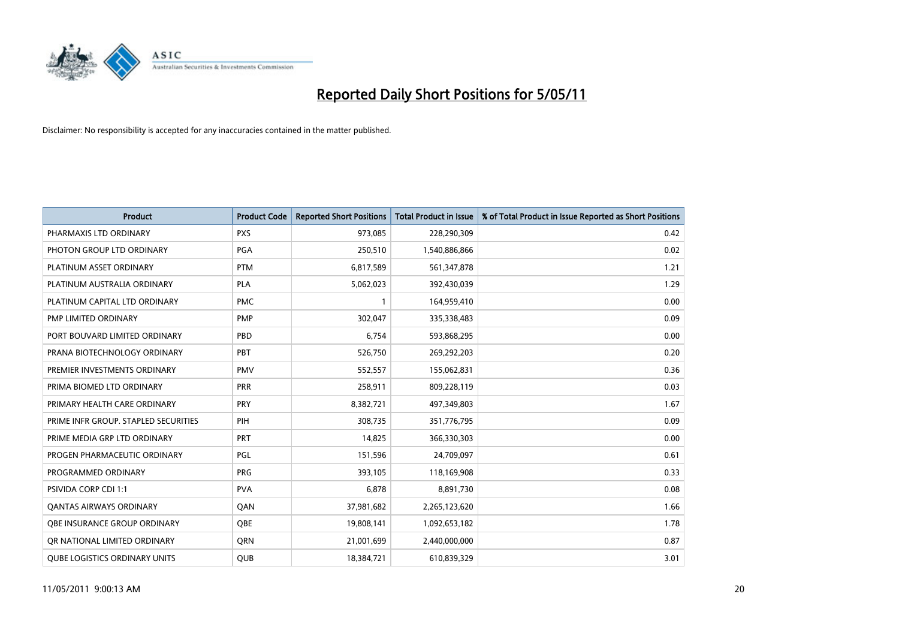

| <b>Product</b>                       | <b>Product Code</b> | <b>Reported Short Positions</b> | Total Product in Issue | % of Total Product in Issue Reported as Short Positions |
|--------------------------------------|---------------------|---------------------------------|------------------------|---------------------------------------------------------|
| PHARMAXIS LTD ORDINARY               | <b>PXS</b>          | 973,085                         | 228,290,309            | 0.42                                                    |
| PHOTON GROUP LTD ORDINARY            | PGA                 | 250,510                         | 1,540,886,866          | 0.02                                                    |
| PLATINUM ASSET ORDINARY              | <b>PTM</b>          | 6,817,589                       | 561,347,878            | 1.21                                                    |
| PLATINUM AUSTRALIA ORDINARY          | <b>PLA</b>          | 5,062,023                       | 392,430,039            | 1.29                                                    |
| PLATINUM CAPITAL LTD ORDINARY        | <b>PMC</b>          |                                 | 164,959,410            | 0.00                                                    |
| PMP LIMITED ORDINARY                 | <b>PMP</b>          | 302,047                         | 335,338,483            | 0.09                                                    |
| PORT BOUVARD LIMITED ORDINARY        | PBD                 | 6.754                           | 593,868,295            | 0.00                                                    |
| PRANA BIOTECHNOLOGY ORDINARY         | PBT                 | 526,750                         | 269,292,203            | 0.20                                                    |
| PREMIER INVESTMENTS ORDINARY         | <b>PMV</b>          | 552,557                         | 155,062,831            | 0.36                                                    |
| PRIMA BIOMED LTD ORDINARY            | <b>PRR</b>          | 258,911                         | 809,228,119            | 0.03                                                    |
| PRIMARY HEALTH CARE ORDINARY         | <b>PRY</b>          | 8,382,721                       | 497,349,803            | 1.67                                                    |
| PRIME INFR GROUP. STAPLED SECURITIES | PIH                 | 308.735                         | 351,776,795            | 0.09                                                    |
| PRIME MEDIA GRP LTD ORDINARY         | <b>PRT</b>          | 14,825                          | 366,330,303            | 0.00                                                    |
| PROGEN PHARMACEUTIC ORDINARY         | PGL                 | 151,596                         | 24,709,097             | 0.61                                                    |
| PROGRAMMED ORDINARY                  | <b>PRG</b>          | 393,105                         | 118,169,908            | 0.33                                                    |
| PSIVIDA CORP CDI 1:1                 | <b>PVA</b>          | 6,878                           | 8,891,730              | 0.08                                                    |
| <b>QANTAS AIRWAYS ORDINARY</b>       | QAN                 | 37,981,682                      | 2,265,123,620          | 1.66                                                    |
| OBE INSURANCE GROUP ORDINARY         | <b>OBE</b>          | 19,808,141                      | 1,092,653,182          | 1.78                                                    |
| OR NATIONAL LIMITED ORDINARY         | <b>ORN</b>          | 21,001,699                      | 2,440,000,000          | 0.87                                                    |
| <b>QUBE LOGISTICS ORDINARY UNITS</b> | <b>QUB</b>          | 18,384,721                      | 610,839,329            | 3.01                                                    |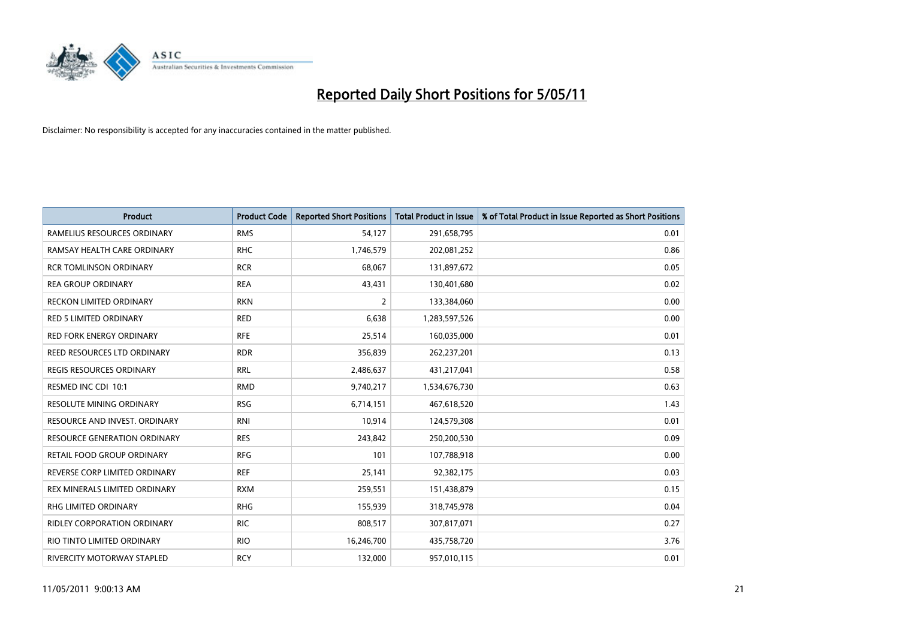

| <b>Product</b>                  | <b>Product Code</b> | <b>Reported Short Positions</b> | Total Product in Issue | % of Total Product in Issue Reported as Short Positions |
|---------------------------------|---------------------|---------------------------------|------------------------|---------------------------------------------------------|
| RAMELIUS RESOURCES ORDINARY     | <b>RMS</b>          | 54,127                          | 291,658,795            | 0.01                                                    |
| RAMSAY HEALTH CARE ORDINARY     | <b>RHC</b>          | 1,746,579                       | 202,081,252            | 0.86                                                    |
| <b>RCR TOMLINSON ORDINARY</b>   | <b>RCR</b>          | 68,067                          | 131,897,672            | 0.05                                                    |
| <b>REA GROUP ORDINARY</b>       | <b>REA</b>          | 43,431                          | 130,401,680            | 0.02                                                    |
| <b>RECKON LIMITED ORDINARY</b>  | <b>RKN</b>          | $\overline{2}$                  | 133,384,060            | 0.00                                                    |
| <b>RED 5 LIMITED ORDINARY</b>   | <b>RED</b>          | 6,638                           | 1,283,597,526          | 0.00                                                    |
| <b>RED FORK ENERGY ORDINARY</b> | <b>RFE</b>          | 25,514                          | 160,035,000            | 0.01                                                    |
| REED RESOURCES LTD ORDINARY     | <b>RDR</b>          | 356,839                         | 262,237,201            | 0.13                                                    |
| REGIS RESOURCES ORDINARY        | <b>RRL</b>          | 2,486,637                       | 431,217,041            | 0.58                                                    |
| RESMED INC CDI 10:1             | <b>RMD</b>          | 9,740,217                       | 1,534,676,730          | 0.63                                                    |
| RESOLUTE MINING ORDINARY        | <b>RSG</b>          | 6,714,151                       | 467,618,520            | 1.43                                                    |
| RESOURCE AND INVEST. ORDINARY   | <b>RNI</b>          | 10,914                          | 124,579,308            | 0.01                                                    |
| RESOURCE GENERATION ORDINARY    | <b>RES</b>          | 243,842                         | 250,200,530            | 0.09                                                    |
| RETAIL FOOD GROUP ORDINARY      | <b>RFG</b>          | 101                             | 107,788,918            | 0.00                                                    |
| REVERSE CORP LIMITED ORDINARY   | <b>REF</b>          | 25,141                          | 92,382,175             | 0.03                                                    |
| REX MINERALS LIMITED ORDINARY   | <b>RXM</b>          | 259,551                         | 151,438,879            | 0.15                                                    |
| <b>RHG LIMITED ORDINARY</b>     | <b>RHG</b>          | 155,939                         | 318,745,978            | 0.04                                                    |
| RIDLEY CORPORATION ORDINARY     | <b>RIC</b>          | 808,517                         | 307,817,071            | 0.27                                                    |
| RIO TINTO LIMITED ORDINARY      | <b>RIO</b>          | 16,246,700                      | 435,758,720            | 3.76                                                    |
| RIVERCITY MOTORWAY STAPLED      | <b>RCY</b>          | 132,000                         | 957,010,115            | 0.01                                                    |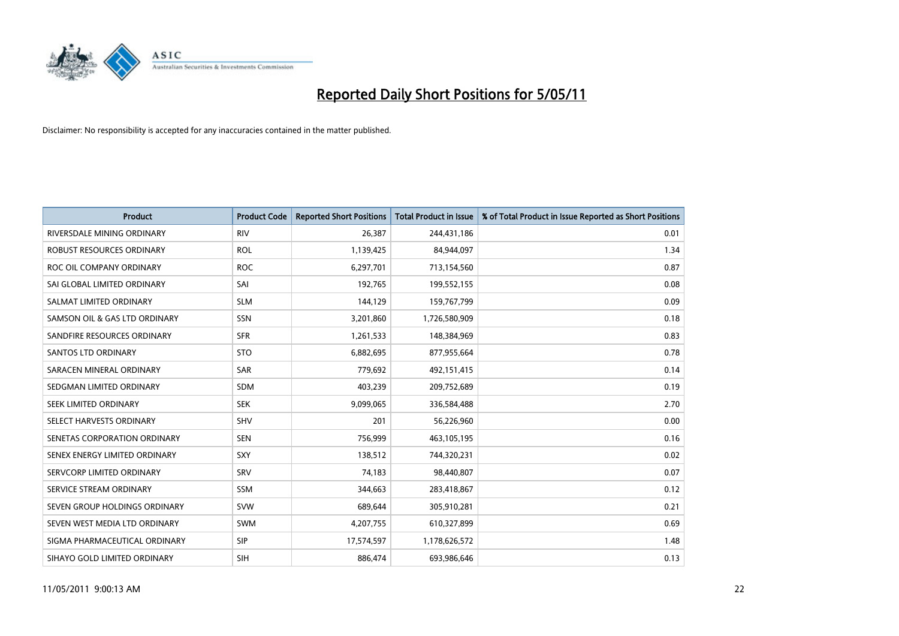

| <b>Product</b>                | <b>Product Code</b> | <b>Reported Short Positions</b> | Total Product in Issue | % of Total Product in Issue Reported as Short Positions |
|-------------------------------|---------------------|---------------------------------|------------------------|---------------------------------------------------------|
| RIVERSDALE MINING ORDINARY    | <b>RIV</b>          | 26,387                          | 244,431,186            | 0.01                                                    |
| ROBUST RESOURCES ORDINARY     | <b>ROL</b>          | 1,139,425                       | 84,944,097             | 1.34                                                    |
| ROC OIL COMPANY ORDINARY      | <b>ROC</b>          | 6,297,701                       | 713,154,560            | 0.87                                                    |
| SAI GLOBAL LIMITED ORDINARY   | SAI                 | 192,765                         | 199,552,155            | 0.08                                                    |
| SALMAT LIMITED ORDINARY       | <b>SLM</b>          | 144,129                         | 159,767,799            | 0.09                                                    |
| SAMSON OIL & GAS LTD ORDINARY | SSN                 | 3,201,860                       | 1,726,580,909          | 0.18                                                    |
| SANDFIRE RESOURCES ORDINARY   | <b>SFR</b>          | 1,261,533                       | 148,384,969            | 0.83                                                    |
| <b>SANTOS LTD ORDINARY</b>    | <b>STO</b>          | 6,882,695                       | 877,955,664            | 0.78                                                    |
| SARACEN MINERAL ORDINARY      | <b>SAR</b>          | 779,692                         | 492,151,415            | 0.14                                                    |
| SEDGMAN LIMITED ORDINARY      | <b>SDM</b>          | 403,239                         | 209,752,689            | 0.19                                                    |
| SEEK LIMITED ORDINARY         | <b>SEK</b>          | 9,099,065                       | 336,584,488            | 2.70                                                    |
| SELECT HARVESTS ORDINARY      | SHV                 | 201                             | 56,226,960             | 0.00                                                    |
| SENETAS CORPORATION ORDINARY  | <b>SEN</b>          | 756,999                         | 463,105,195            | 0.16                                                    |
| SENEX ENERGY LIMITED ORDINARY | SXY                 | 138,512                         | 744,320,231            | 0.02                                                    |
| SERVCORP LIMITED ORDINARY     | SRV                 | 74,183                          | 98,440,807             | 0.07                                                    |
| SERVICE STREAM ORDINARY       | <b>SSM</b>          | 344,663                         | 283,418,867            | 0.12                                                    |
| SEVEN GROUP HOLDINGS ORDINARY | <b>SVW</b>          | 689,644                         | 305,910,281            | 0.21                                                    |
| SEVEN WEST MEDIA LTD ORDINARY | <b>SWM</b>          | 4,207,755                       | 610,327,899            | 0.69                                                    |
| SIGMA PHARMACEUTICAL ORDINARY | <b>SIP</b>          | 17,574,597                      | 1,178,626,572          | 1.48                                                    |
| SIHAYO GOLD LIMITED ORDINARY  | <b>SIH</b>          | 886,474                         | 693,986,646            | 0.13                                                    |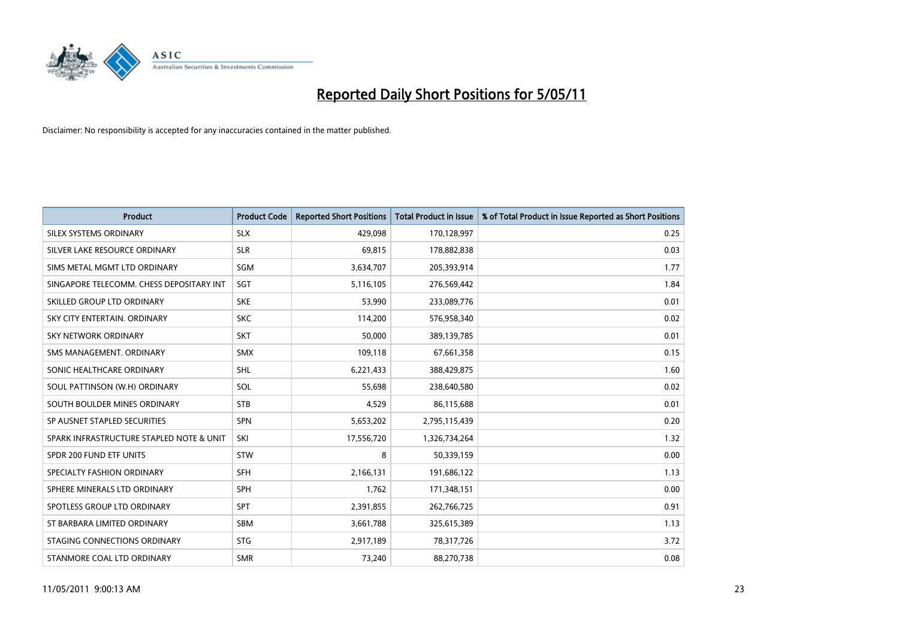

| <b>Product</b>                           | <b>Product Code</b> | <b>Reported Short Positions</b> | <b>Total Product in Issue</b> | % of Total Product in Issue Reported as Short Positions |
|------------------------------------------|---------------------|---------------------------------|-------------------------------|---------------------------------------------------------|
| SILEX SYSTEMS ORDINARY                   | <b>SLX</b>          | 429.098                         | 170,128,997                   | 0.25                                                    |
| SILVER LAKE RESOURCE ORDINARY            | <b>SLR</b>          | 69,815                          | 178,882,838                   | 0.03                                                    |
| SIMS METAL MGMT LTD ORDINARY             | <b>SGM</b>          | 3,634,707                       | 205,393,914                   | 1.77                                                    |
| SINGAPORE TELECOMM. CHESS DEPOSITARY INT | SGT                 | 5,116,105                       | 276,569,442                   | 1.84                                                    |
| SKILLED GROUP LTD ORDINARY               | <b>SKE</b>          | 53,990                          | 233,089,776                   | 0.01                                                    |
| SKY CITY ENTERTAIN, ORDINARY             | <b>SKC</b>          | 114,200                         | 576,958,340                   | 0.02                                                    |
| <b>SKY NETWORK ORDINARY</b>              | <b>SKT</b>          | 50,000                          | 389,139,785                   | 0.01                                                    |
| SMS MANAGEMENT, ORDINARY                 | <b>SMX</b>          | 109,118                         | 67,661,358                    | 0.15                                                    |
| SONIC HEALTHCARE ORDINARY                | <b>SHL</b>          | 6,221,433                       | 388,429,875                   | 1.60                                                    |
| SOUL PATTINSON (W.H) ORDINARY            | SOL                 | 55,698                          | 238,640,580                   | 0.02                                                    |
| SOUTH BOULDER MINES ORDINARY             | <b>STB</b>          | 4,529                           | 86,115,688                    | 0.01                                                    |
| SP AUSNET STAPLED SECURITIES             | <b>SPN</b>          | 5,653,202                       | 2,795,115,439                 | 0.20                                                    |
| SPARK INFRASTRUCTURE STAPLED NOTE & UNIT | SKI                 | 17,556,720                      | 1,326,734,264                 | 1.32                                                    |
| SPDR 200 FUND ETF UNITS                  | <b>STW</b>          | 8                               | 50,339,159                    | 0.00                                                    |
| SPECIALTY FASHION ORDINARY               | <b>SFH</b>          | 2,166,131                       | 191,686,122                   | 1.13                                                    |
| SPHERE MINERALS LTD ORDINARY             | <b>SPH</b>          | 1,762                           | 171,348,151                   | 0.00                                                    |
| SPOTLESS GROUP LTD ORDINARY              | <b>SPT</b>          | 2,391,855                       | 262,766,725                   | 0.91                                                    |
| ST BARBARA LIMITED ORDINARY              | SBM                 | 3,661,788                       | 325,615,389                   | 1.13                                                    |
| STAGING CONNECTIONS ORDINARY             | <b>STG</b>          | 2,917,189                       | 78,317,726                    | 3.72                                                    |
| STANMORE COAL LTD ORDINARY               | <b>SMR</b>          | 73,240                          | 88,270,738                    | 0.08                                                    |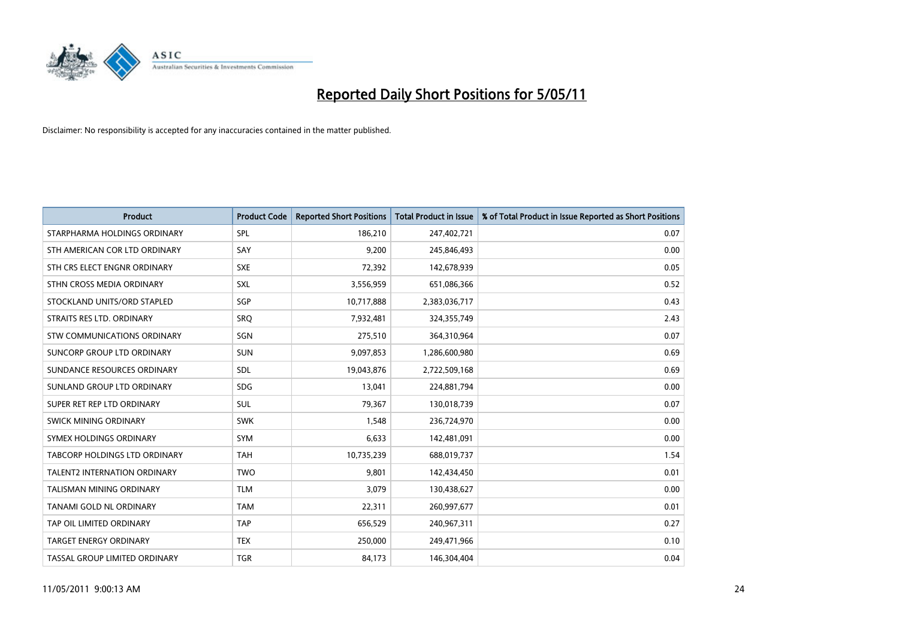

| <b>Product</b>                       | <b>Product Code</b> | <b>Reported Short Positions</b> | <b>Total Product in Issue</b> | % of Total Product in Issue Reported as Short Positions |
|--------------------------------------|---------------------|---------------------------------|-------------------------------|---------------------------------------------------------|
| STARPHARMA HOLDINGS ORDINARY         | SPL                 | 186,210                         | 247,402,721                   | 0.07                                                    |
| STH AMERICAN COR LTD ORDINARY        | SAY                 | 9,200                           | 245,846,493                   | 0.00                                                    |
| STH CRS ELECT ENGNR ORDINARY         | <b>SXE</b>          | 72,392                          | 142,678,939                   | 0.05                                                    |
| STHN CROSS MEDIA ORDINARY            | <b>SXL</b>          | 3,556,959                       | 651,086,366                   | 0.52                                                    |
| STOCKLAND UNITS/ORD STAPLED          | <b>SGP</b>          | 10,717,888                      | 2,383,036,717                 | 0.43                                                    |
| STRAITS RES LTD. ORDINARY            | SRQ                 | 7,932,481                       | 324,355,749                   | 2.43                                                    |
| <b>STW COMMUNICATIONS ORDINARY</b>   | SGN                 | 275,510                         | 364,310,964                   | 0.07                                                    |
| SUNCORP GROUP LTD ORDINARY           | <b>SUN</b>          | 9,097,853                       | 1,286,600,980                 | 0.69                                                    |
| SUNDANCE RESOURCES ORDINARY          | <b>SDL</b>          | 19,043,876                      | 2,722,509,168                 | 0.69                                                    |
| SUNLAND GROUP LTD ORDINARY           | <b>SDG</b>          | 13,041                          | 224,881,794                   | 0.00                                                    |
| SUPER RET REP LTD ORDINARY           | <b>SUL</b>          | 79,367                          | 130,018,739                   | 0.07                                                    |
| <b>SWICK MINING ORDINARY</b>         | <b>SWK</b>          | 1,548                           | 236,724,970                   | 0.00                                                    |
| SYMEX HOLDINGS ORDINARY              | <b>SYM</b>          | 6,633                           | 142,481,091                   | 0.00                                                    |
| <b>TABCORP HOLDINGS LTD ORDINARY</b> | <b>TAH</b>          | 10,735,239                      | 688,019,737                   | 1.54                                                    |
| <b>TALENT2 INTERNATION ORDINARY</b>  | <b>TWO</b>          | 9.801                           | 142,434,450                   | 0.01                                                    |
| TALISMAN MINING ORDINARY             | <b>TLM</b>          | 3,079                           | 130,438,627                   | 0.00                                                    |
| <b>TANAMI GOLD NL ORDINARY</b>       | <b>TAM</b>          | 22,311                          | 260,997,677                   | 0.01                                                    |
| TAP OIL LIMITED ORDINARY             | <b>TAP</b>          | 656,529                         | 240,967,311                   | 0.27                                                    |
| <b>TARGET ENERGY ORDINARY</b>        | <b>TEX</b>          | 250,000                         | 249,471,966                   | 0.10                                                    |
| TASSAL GROUP LIMITED ORDINARY        | <b>TGR</b>          | 84,173                          | 146,304,404                   | 0.04                                                    |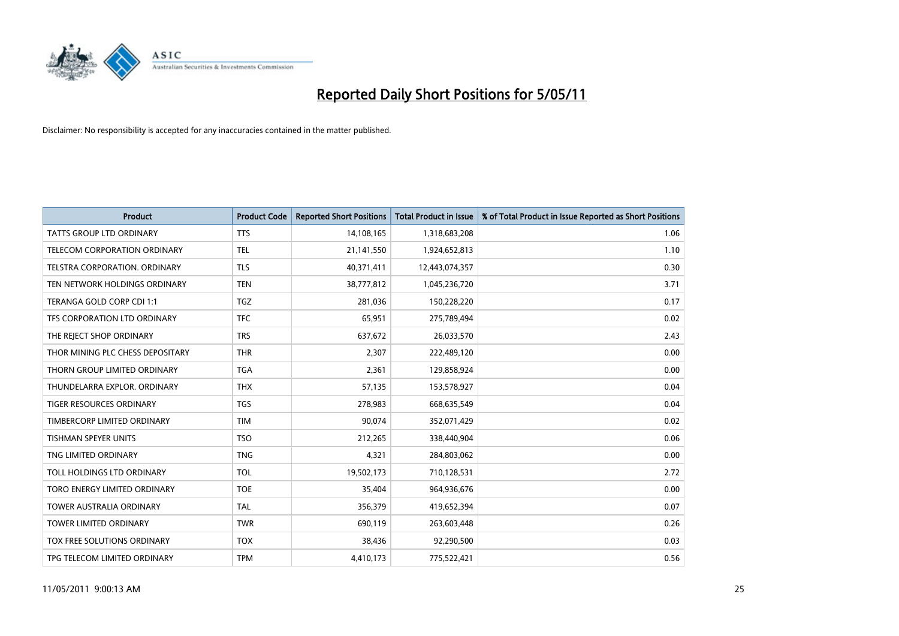

| <b>Product</b>                       | <b>Product Code</b> | <b>Reported Short Positions</b> | Total Product in Issue | % of Total Product in Issue Reported as Short Positions |
|--------------------------------------|---------------------|---------------------------------|------------------------|---------------------------------------------------------|
| <b>TATTS GROUP LTD ORDINARY</b>      | <b>TTS</b>          | 14,108,165                      | 1,318,683,208          | 1.06                                                    |
| TELECOM CORPORATION ORDINARY         | <b>TEL</b>          | 21,141,550                      | 1,924,652,813          | 1.10                                                    |
| <b>TELSTRA CORPORATION, ORDINARY</b> | <b>TLS</b>          | 40,371,411                      | 12,443,074,357         | 0.30                                                    |
| TEN NETWORK HOLDINGS ORDINARY        | <b>TEN</b>          | 38,777,812                      | 1,045,236,720          | 3.71                                                    |
| TERANGA GOLD CORP CDI 1:1            | <b>TGZ</b>          | 281,036                         | 150,228,220            | 0.17                                                    |
| TFS CORPORATION LTD ORDINARY         | <b>TFC</b>          | 65,951                          | 275,789,494            | 0.02                                                    |
| THE REJECT SHOP ORDINARY             | <b>TRS</b>          | 637,672                         | 26,033,570             | 2.43                                                    |
| THOR MINING PLC CHESS DEPOSITARY     | <b>THR</b>          | 2,307                           | 222,489,120            | 0.00                                                    |
| THORN GROUP LIMITED ORDINARY         | <b>TGA</b>          | 2,361                           | 129,858,924            | 0.00                                                    |
| THUNDELARRA EXPLOR, ORDINARY         | <b>THX</b>          | 57,135                          | 153,578,927            | 0.04                                                    |
| <b>TIGER RESOURCES ORDINARY</b>      | <b>TGS</b>          | 278,983                         | 668,635,549            | 0.04                                                    |
| TIMBERCORP LIMITED ORDINARY          | <b>TIM</b>          | 90,074                          | 352,071,429            | 0.02                                                    |
| <b>TISHMAN SPEYER UNITS</b>          | <b>TSO</b>          | 212,265                         | 338,440,904            | 0.06                                                    |
| TNG LIMITED ORDINARY                 | <b>TNG</b>          | 4,321                           | 284,803,062            | 0.00                                                    |
| TOLL HOLDINGS LTD ORDINARY           | <b>TOL</b>          | 19,502,173                      | 710,128,531            | 2.72                                                    |
| TORO ENERGY LIMITED ORDINARY         | <b>TOE</b>          | 35,404                          | 964,936,676            | 0.00                                                    |
| <b>TOWER AUSTRALIA ORDINARY</b>      | <b>TAL</b>          | 356,379                         | 419,652,394            | 0.07                                                    |
| TOWER LIMITED ORDINARY               | <b>TWR</b>          | 690,119                         | 263,603,448            | 0.26                                                    |
| <b>TOX FREE SOLUTIONS ORDINARY</b>   | <b>TOX</b>          | 38,436                          | 92,290,500             | 0.03                                                    |
| TPG TELECOM LIMITED ORDINARY         | <b>TPM</b>          | 4,410,173                       | 775,522,421            | 0.56                                                    |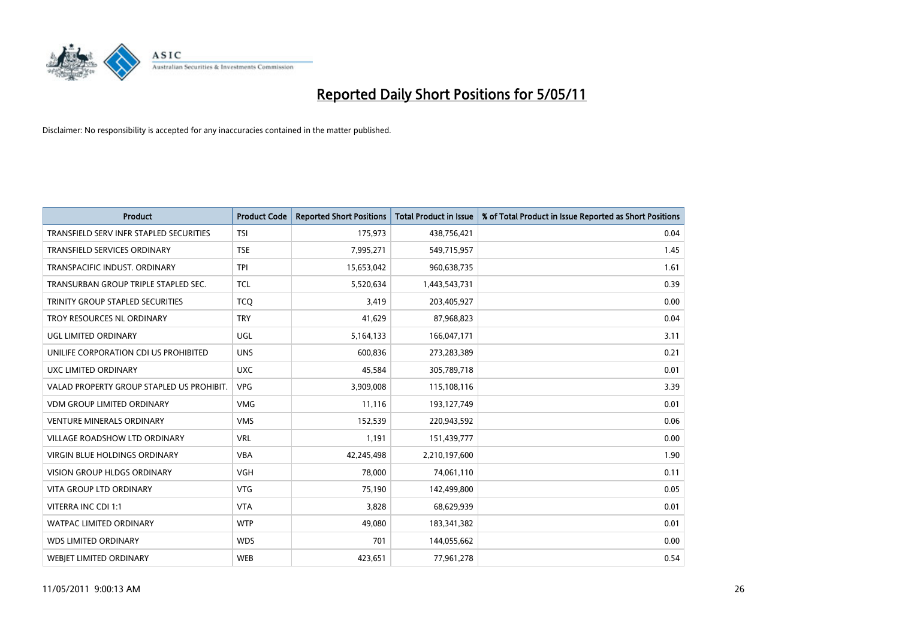

| <b>Product</b>                            | <b>Product Code</b> | <b>Reported Short Positions</b> | <b>Total Product in Issue</b> | % of Total Product in Issue Reported as Short Positions |
|-------------------------------------------|---------------------|---------------------------------|-------------------------------|---------------------------------------------------------|
| TRANSFIELD SERV INFR STAPLED SECURITIES   | <b>TSI</b>          | 175,973                         | 438,756,421                   | 0.04                                                    |
| <b>TRANSFIELD SERVICES ORDINARY</b>       | <b>TSE</b>          | 7,995,271                       | 549,715,957                   | 1.45                                                    |
| TRANSPACIFIC INDUST, ORDINARY             | <b>TPI</b>          | 15,653,042                      | 960,638,735                   | 1.61                                                    |
| TRANSURBAN GROUP TRIPLE STAPLED SEC.      | <b>TCL</b>          | 5,520,634                       | 1,443,543,731                 | 0.39                                                    |
| TRINITY GROUP STAPLED SECURITIES          | <b>TCO</b>          | 3,419                           | 203,405,927                   | 0.00                                                    |
| TROY RESOURCES NL ORDINARY                | <b>TRY</b>          | 41,629                          | 87,968,823                    | 0.04                                                    |
| UGL LIMITED ORDINARY                      | UGL                 | 5,164,133                       | 166,047,171                   | 3.11                                                    |
| UNILIFE CORPORATION CDI US PROHIBITED     | <b>UNS</b>          | 600,836                         | 273,283,389                   | 0.21                                                    |
| UXC LIMITED ORDINARY                      | <b>UXC</b>          | 45,584                          | 305,789,718                   | 0.01                                                    |
| VALAD PROPERTY GROUP STAPLED US PROHIBIT. | <b>VPG</b>          | 3,909,008                       | 115,108,116                   | 3.39                                                    |
| <b>VDM GROUP LIMITED ORDINARY</b>         | <b>VMG</b>          | 11,116                          | 193,127,749                   | 0.01                                                    |
| <b>VENTURE MINERALS ORDINARY</b>          | <b>VMS</b>          | 152,539                         | 220,943,592                   | 0.06                                                    |
| <b>VILLAGE ROADSHOW LTD ORDINARY</b>      | <b>VRL</b>          | 1,191                           | 151,439,777                   | 0.00                                                    |
| <b>VIRGIN BLUE HOLDINGS ORDINARY</b>      | <b>VBA</b>          | 42,245,498                      | 2,210,197,600                 | 1.90                                                    |
| <b>VISION GROUP HLDGS ORDINARY</b>        | <b>VGH</b>          | 78,000                          | 74,061,110                    | 0.11                                                    |
| <b>VITA GROUP LTD ORDINARY</b>            | <b>VTG</b>          | 75,190                          | 142,499,800                   | 0.05                                                    |
| VITERRA INC CDI 1:1                       | <b>VTA</b>          | 3,828                           | 68,629,939                    | 0.01                                                    |
| <b>WATPAC LIMITED ORDINARY</b>            | <b>WTP</b>          | 49,080                          | 183,341,382                   | 0.01                                                    |
| <b>WDS LIMITED ORDINARY</b>               | <b>WDS</b>          | 701                             | 144,055,662                   | 0.00                                                    |
| <b>WEBJET LIMITED ORDINARY</b>            | <b>WEB</b>          | 423.651                         | 77,961,278                    | 0.54                                                    |